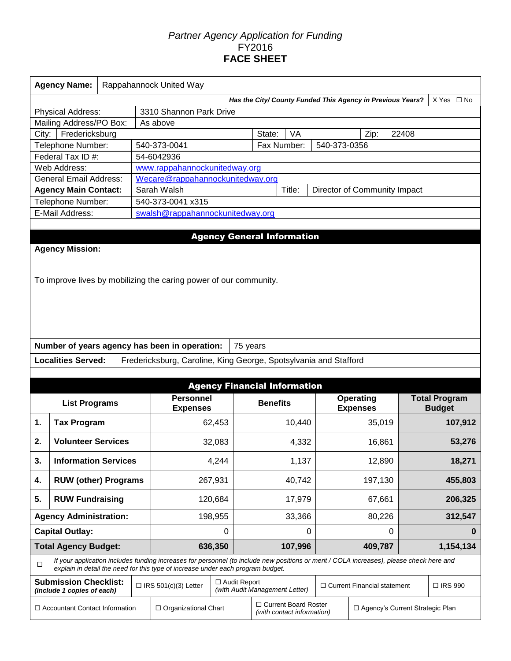# *Partner Agency Application for Funding*  FY2016 **FACE SHEET**

|       | <b>Agency Name:</b>                                               | Rappahannock United Way |  |                                                                                                                |                |                                                                                                                                          |              |                                    |                                   |                                       |  |  |  |  |  |  |  |  |
|-------|-------------------------------------------------------------------|-------------------------|--|----------------------------------------------------------------------------------------------------------------|----------------|------------------------------------------------------------------------------------------------------------------------------------------|--------------|------------------------------------|-----------------------------------|---------------------------------------|--|--|--|--|--|--|--|--|
|       |                                                                   |                         |  |                                                                                                                |                | Has the City/ County Funded This Agency in Previous Years?                                                                               |              |                                    |                                   | $X Yes \Box No$                       |  |  |  |  |  |  |  |  |
|       | Physical Address:                                                 |                         |  | 3310 Shannon Park Drive                                                                                        |                |                                                                                                                                          |              |                                    |                                   |                                       |  |  |  |  |  |  |  |  |
|       | Mailing Address/PO Box:                                           |                         |  | As above                                                                                                       |                |                                                                                                                                          |              |                                    |                                   |                                       |  |  |  |  |  |  |  |  |
| City: | Fredericksburg                                                    |                         |  |                                                                                                                |                | State:<br>VA                                                                                                                             |              | Zip:                               | 22408                             |                                       |  |  |  |  |  |  |  |  |
|       | Telephone Number:                                                 |                         |  | 540-373-0041                                                                                                   |                | Fax Number:                                                                                                                              | 540-373-0356 |                                    |                                   |                                       |  |  |  |  |  |  |  |  |
|       | Federal Tax ID #:                                                 |                         |  | 54-6042936                                                                                                     |                |                                                                                                                                          |              |                                    |                                   |                                       |  |  |  |  |  |  |  |  |
|       | Web Address:                                                      |                         |  | www.rappahannockunitedway.org                                                                                  |                |                                                                                                                                          |              |                                    |                                   |                                       |  |  |  |  |  |  |  |  |
|       | <b>General Email Address:</b>                                     |                         |  | Wecare@rappahannockunitedway.org<br>Sarah Walsh                                                                |                |                                                                                                                                          |              |                                    |                                   |                                       |  |  |  |  |  |  |  |  |
|       | <b>Agency Main Contact:</b>                                       |                         |  | 540-373-0041 x315                                                                                              |                | Title:                                                                                                                                   |              |                                    | Director of Community Impact      |                                       |  |  |  |  |  |  |  |  |
|       | Telephone Number:<br>E-Mail Address:                              |                         |  | swalsh@rappahannockunitedway.org                                                                               |                |                                                                                                                                          |              |                                    |                                   |                                       |  |  |  |  |  |  |  |  |
|       |                                                                   |                         |  |                                                                                                                |                |                                                                                                                                          |              |                                    |                                   |                                       |  |  |  |  |  |  |  |  |
|       |                                                                   |                         |  |                                                                                                                |                | <b>Agency General Information</b>                                                                                                        |              |                                    |                                   |                                       |  |  |  |  |  |  |  |  |
|       | <b>Agency Mission:</b>                                            |                         |  |                                                                                                                |                |                                                                                                                                          |              |                                    |                                   |                                       |  |  |  |  |  |  |  |  |
|       | To improve lives by mobilizing the caring power of our community. |                         |  |                                                                                                                |                |                                                                                                                                          |              |                                    |                                   |                                       |  |  |  |  |  |  |  |  |
|       |                                                                   |                         |  | Number of years agency has been in operation:                                                                  |                | 75 years                                                                                                                                 |              |                                    |                                   |                                       |  |  |  |  |  |  |  |  |
|       | <b>Localities Served:</b>                                         |                         |  |                                                                                                                |                | Fredericksburg, Caroline, King George, Spotsylvania and Stafford                                                                         |              |                                    |                                   |                                       |  |  |  |  |  |  |  |  |
|       |                                                                   |                         |  |                                                                                                                |                |                                                                                                                                          |              |                                    |                                   |                                       |  |  |  |  |  |  |  |  |
|       |                                                                   |                         |  |                                                                                                                |                |                                                                                                                                          |              |                                    |                                   | <b>Agency Financial Information</b>   |  |  |  |  |  |  |  |  |
|       | <b>List Programs</b>                                              |                         |  | <b>Personnel</b><br><b>Expenses</b>                                                                            |                | <b>Benefits</b>                                                                                                                          |              | <b>Operating</b>                   |                                   |                                       |  |  |  |  |  |  |  |  |
| 1.    | <b>Tax Program</b>                                                |                         |  |                                                                                                                |                |                                                                                                                                          |              | <b>Expenses</b>                    |                                   | <b>Total Program</b><br><b>Budget</b> |  |  |  |  |  |  |  |  |
| 2.    | <b>Volunteer Services</b>                                         |                         |  |                                                                                                                | 62,453         | 10,440                                                                                                                                   |              | 35,019                             |                                   | 107,912                               |  |  |  |  |  |  |  |  |
| 3.    | <b>Information Services</b>                                       |                         |  |                                                                                                                | 32,083         | 4,332                                                                                                                                    |              | 16,861                             |                                   | 53,276                                |  |  |  |  |  |  |  |  |
|       |                                                                   |                         |  |                                                                                                                | 4,244          | 1,137                                                                                                                                    |              | 12,890                             |                                   | 18,271                                |  |  |  |  |  |  |  |  |
| 4.    | <b>RUW (other) Programs</b>                                       |                         |  |                                                                                                                | 267,931        | 40,742                                                                                                                                   |              | 197,130                            |                                   | 455,803                               |  |  |  |  |  |  |  |  |
| 5.    | <b>RUW Fundraising</b>                                            |                         |  |                                                                                                                | 120,684        | 17,979                                                                                                                                   |              | 67,661                             |                                   | 206,325                               |  |  |  |  |  |  |  |  |
|       | <b>Agency Administration:</b>                                     |                         |  |                                                                                                                | 198,955        | 33,366                                                                                                                                   |              | 80,226                             |                                   | 312,547                               |  |  |  |  |  |  |  |  |
|       | <b>Capital Outlay:</b>                                            |                         |  |                                                                                                                | 0              | 0                                                                                                                                        |              |                                    | 0                                 | 0                                     |  |  |  |  |  |  |  |  |
|       |                                                                   |                         |  |                                                                                                                | 636,350        | 107,996                                                                                                                                  |              | 409,787                            |                                   | 1,154,134                             |  |  |  |  |  |  |  |  |
| □     | <b>Total Agency Budget:</b>                                       |                         |  |                                                                                                                |                | If your application includes funding increases for personnel (to include new positions or merit / COLA increases), please check here and |              |                                    |                                   |                                       |  |  |  |  |  |  |  |  |
|       | <b>Submission Checklist:</b>                                      |                         |  | explain in detail the need for this type of increase under each program budget.<br>$\Box$ IRS 501(c)(3) Letter | □ Audit Report |                                                                                                                                          |              | $\Box$ Current Financial statement |                                   | □ IRS 990                             |  |  |  |  |  |  |  |  |
|       | (include 1 copies of each)<br>□ Accountant Contact Information    |                         |  | □ Organizational Chart                                                                                         |                | (with Audit Management Letter)<br>□ Current Board Roster<br>(with contact information)                                                   |              |                                    | □ Agency's Current Strategic Plan |                                       |  |  |  |  |  |  |  |  |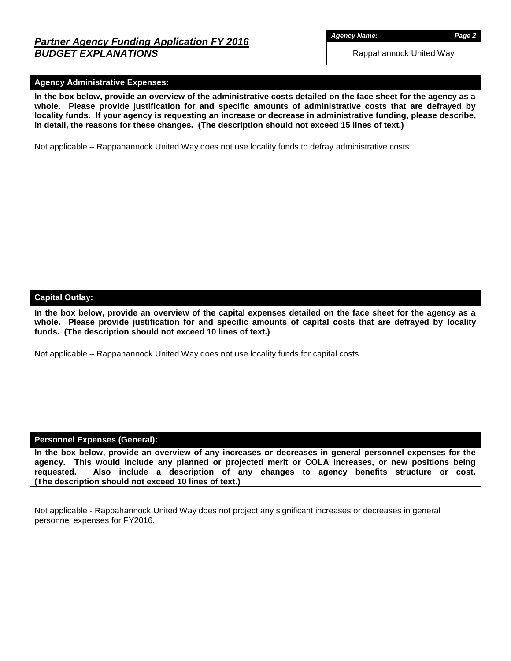# *Partner Agency Funding Application FY 2016 BUDGET EXPLANATIONS*

*Agency Name: Page 2*

Rappahannock United Way

### **Agency Administrative Expenses:**

**In the box below, provide an overview of the administrative costs detailed on the face sheet for the agency as a whole. Please provide justification for and specific amounts of administrative costs that are defrayed by locality funds. If your agency is requesting an increase or decrease in administrative funding, please describe, in detail, the reasons for these changes. (The description should not exceed 15 lines of text.)**

Not applicable – Rappahannock United Way does not use locality funds to defray administrative costs.

#### **Capital Outlay:**

**In the box below, provide an overview of the capital expenses detailed on the face sheet for the agency as a whole. Please provide justification for and specific amounts of capital costs that are defrayed by locality funds. (The description should not exceed 10 lines of text.)**

Not applicable – Rappahannock United Way does not use locality funds for capital costs.

#### **Personnel Expenses (General):**

**In the box below, provide an overview of any increases or decreases in general personnel expenses for the agency. This would include any planned or projected merit or COLA increases, or new positions being requested. Also include a description of any changes to agency benefits structure or cost. (The description should not exceed 10 lines of text.)**

Not applicable - Rappahannock United Way does not project any significant increases or decreases in general personnel expenses for FY2016.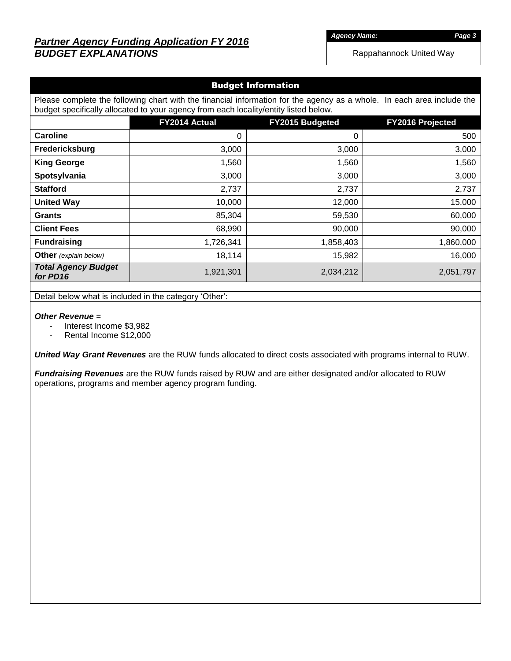# *Partner Agency Funding Application FY 2016 BUDGET EXPLANATIONS*

*Agency Name: Page 3*

Rappahannock United Way

### Budget Information

Please complete the following chart with the financial information for the agency as a whole. In each area include the budget specifically allocated to your agency from each locality/entity listed below.

|                                        | FY2014 Actual | FY2015 Budgeted | FY2016 Projected |
|----------------------------------------|---------------|-----------------|------------------|
| <b>Caroline</b>                        | 0             | 0               | 500              |
| Fredericksburg                         | 3,000         | 3,000           | 3,000            |
| <b>King George</b>                     | 1,560         | 1,560           | 1,560            |
| Spotsylvania                           | 3,000         | 3,000           | 3,000            |
| <b>Stafford</b>                        | 2,737         | 2,737           | 2,737            |
| <b>United Way</b>                      | 10,000        | 12,000          | 15,000           |
| <b>Grants</b>                          | 85,304        | 59,530          | 60,000           |
| <b>Client Fees</b>                     | 68,990        | 90,000          | 90,000           |
| <b>Fundraising</b>                     | 1,726,341     | 1,858,403       | 1,860,000        |
| Other (explain below)                  | 18,114        | 15,982          | 16,000           |
| <b>Total Agency Budget</b><br>for PD16 | 1,921,301     | 2,034,212       | 2,051,797        |

Detail below what is included in the category 'Other':

#### *Other Revenue* =

- Interest Income \$3,982
- Rental Income \$12,000

*United Way Grant Revenues* are the RUW funds allocated to direct costs associated with programs internal to RUW.

*Fundraising Revenues* are the RUW funds raised by RUW and are either designated and/or allocated to RUW operations, programs and member agency program funding.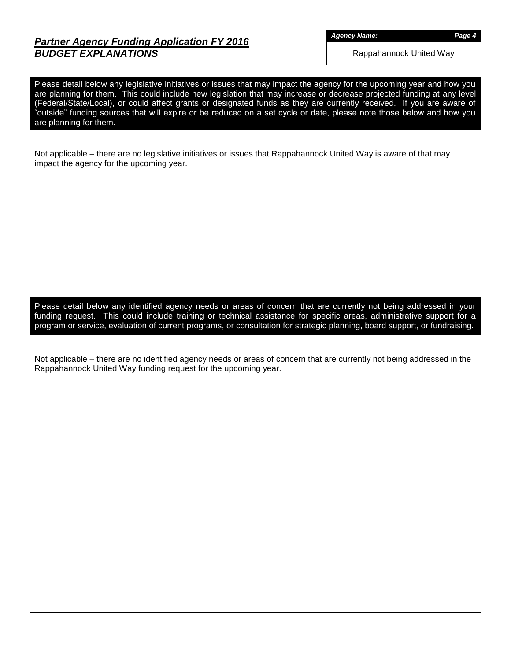## *Partner Agency Funding Application FY 2016 BUDGET EXPLANATIONS*

*Agency Name: Page 4*

Rappahannock United Way

Please detail below any legislative initiatives or issues that may impact the agency for the upcoming year and how you are planning for them. This could include new legislation that may increase or decrease projected funding at any level (Federal/State/Local), or could affect grants or designated funds as they are currently received. If you are aware of "outside" funding sources that will expire or be reduced on a set cycle or date, please note those below and how you are planning for them. Not applicable – there are no legislative initiatives or issues that Rappahannock United Way is aware of that may impact the agency for the upcoming year. Please detail below any identified agency needs or areas of concern that are currently not being addressed in your funding request. This could include training or technical assistance for specific areas, administrative support for a program or service, evaluation of current programs, or consultation for strategic planning, board support, or fundraising. Not applicable – there are no identified agency needs or areas of concern that are currently not being addressed in the Rappahannock United Way funding request for the upcoming year.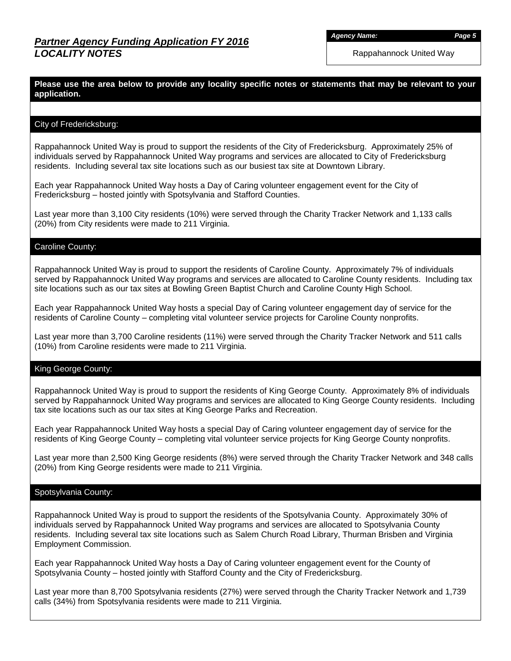*Agency Name: Page 5*

Rappahannock United Way

### **Please use the area below to provide any locality specific notes or statements that may be relevant to your application.**

#### City of Fredericksburg:

Rappahannock United Way is proud to support the residents of the City of Fredericksburg. Approximately 25% of individuals served by Rappahannock United Way programs and services are allocated to City of Fredericksburg residents. Including several tax site locations such as our busiest tax site at Downtown Library.

Each year Rappahannock United Way hosts a Day of Caring volunteer engagement event for the City of Fredericksburg – hosted jointly with Spotsylvania and Stafford Counties.

Last year more than 3,100 City residents (10%) were served through the Charity Tracker Network and 1,133 calls (20%) from City residents were made to 211 Virginia.

### Caroline County:

Rappahannock United Way is proud to support the residents of Caroline County. Approximately 7% of individuals served by Rappahannock United Way programs and services are allocated to Caroline County residents. Including tax site locations such as our tax sites at Bowling Green Baptist Church and Caroline County High School.

Each year Rappahannock United Way hosts a special Day of Caring volunteer engagement day of service for the residents of Caroline County – completing vital volunteer service projects for Caroline County nonprofits.

Last year more than 3,700 Caroline residents (11%) were served through the Charity Tracker Network and 511 calls (10%) from Caroline residents were made to 211 Virginia.

### King George County:

Rappahannock United Way is proud to support the residents of King George County. Approximately 8% of individuals served by Rappahannock United Way programs and services are allocated to King George County residents. Including tax site locations such as our tax sites at King George Parks and Recreation.

Each year Rappahannock United Way hosts a special Day of Caring volunteer engagement day of service for the residents of King George County – completing vital volunteer service projects for King George County nonprofits.

Last year more than 2,500 King George residents (8%) were served through the Charity Tracker Network and 348 calls (20%) from King George residents were made to 211 Virginia.

#### Spotsylvania County:

Rappahannock United Way is proud to support the residents of the Spotsylvania County. Approximately 30% of individuals served by Rappahannock United Way programs and services are allocated to Spotsylvania County residents. Including several tax site locations such as Salem Church Road Library, Thurman Brisben and Virginia Employment Commission.

Each year Rappahannock United Way hosts a Day of Caring volunteer engagement event for the County of Spotsylvania County – hosted jointly with Stafford County and the City of Fredericksburg.

Last year more than 8,700 Spotsylvania residents (27%) were served through the Charity Tracker Network and 1,739 calls (34%) from Spotsylvania residents were made to 211 Virginia.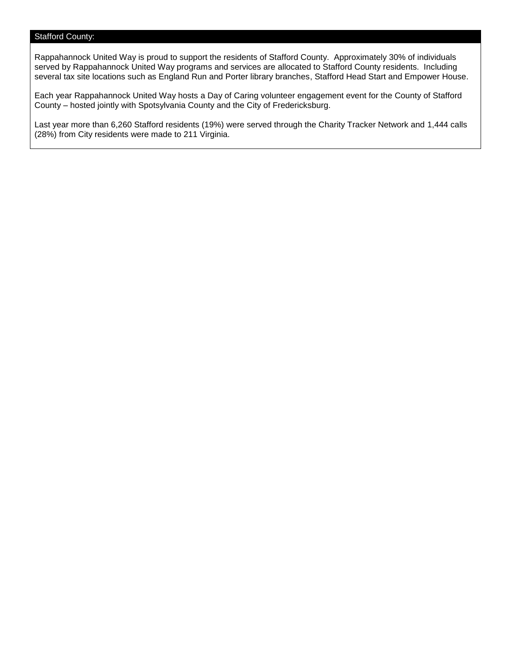### Stafford County:

Rappahannock United Way is proud to support the residents of Stafford County. Approximately 30% of individuals served by Rappahannock United Way programs and services are allocated to Stafford County residents. Including several tax site locations such as England Run and Porter library branches, Stafford Head Start and Empower House.

Each year Rappahannock United Way hosts a Day of Caring volunteer engagement event for the County of Stafford County – hosted jointly with Spotsylvania County and the City of Fredericksburg.

Last year more than 6,260 Stafford residents (19%) were served through the Charity Tracker Network and 1,444 calls (28%) from City residents were made to 211 Virginia.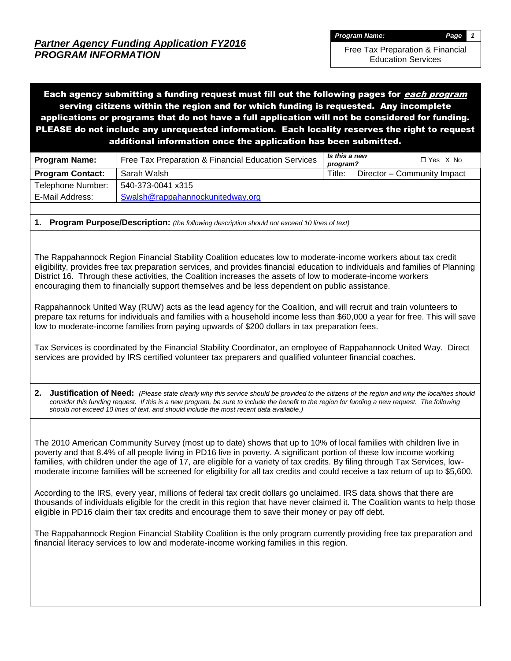Free Tax Preparation & Financial Education Services

Each agency submitting a funding request must fill out the following pages for *each program* serving citizens within the region and for which funding is requested. Any incomplete applications or programs that do not have a full application will not be considered for funding. PLEASE do not include any unrequested information. Each locality reserves the right to request additional information once the application has been submitted.

| <b>Program Name:</b>    | Free Tax Preparation & Financial Education Services | Is this a new<br>program? |  | $\Box$ Yes $\ X$ No         |
|-------------------------|-----------------------------------------------------|---------------------------|--|-----------------------------|
| <b>Program Contact:</b> | Sarah Walsh                                         | Title:                    |  | Director – Community Impact |
| Telephone Number:       | 540-373-0041 x315                                   |                           |  |                             |
| E-Mail Address:         | Swalsh@rappahannockunitedway.org                    |                           |  |                             |

**1. Program Purpose/Description:** *(the following description should not exceed 10 lines of text)*

The Rappahannock Region Financial Stability Coalition educates low to moderate-income workers about tax credit eligibility, provides free tax preparation services, and provides financial education to individuals and families of Planning District 16. Through these activities, the Coalition increases the assets of low to moderate-income workers encouraging them to financially support themselves and be less dependent on public assistance.

Rappahannock United Way (RUW) acts as the lead agency for the Coalition, and will recruit and train volunteers to prepare tax returns for individuals and families with a household income less than \$60,000 a year for free. This will save low to moderate-income families from paying upwards of \$200 dollars in tax preparation fees.

Tax Services is coordinated by the Financial Stability Coordinator, an employee of Rappahannock United Way. Direct services are provided by IRS certified volunteer tax preparers and qualified volunteer financial coaches.

**2. Justification of Need:** *(Please state clearly why this service should be provided to the citizens of the region and why the localities should consider this funding request. If this is a new program, be sure to include the benefit to the region for funding a new request. The following should not exceed 10 lines of text, and should include the most recent data available.)*

The 2010 American Community Survey (most up to date) shows that up to 10% of local families with children live in poverty and that 8.4% of all people living in PD16 live in poverty. A significant portion of these low income working families, with children under the age of 17, are eligible for a variety of tax credits. By filing through Tax Services, lowmoderate income families will be screened for eligibility for all tax credits and could receive a tax return of up to \$5,600.

According to the IRS, every year, millions of federal tax credit dollars go unclaimed. IRS data shows that there are thousands of individuals eligible for the credit in this region that have never claimed it. The Coalition wants to help those eligible in PD16 claim their tax credits and encourage them to save their money or pay off debt.

The Rappahannock Region Financial Stability Coalition is the only program currently providing free tax preparation and financial literacy services to low and moderate-income working families in this region.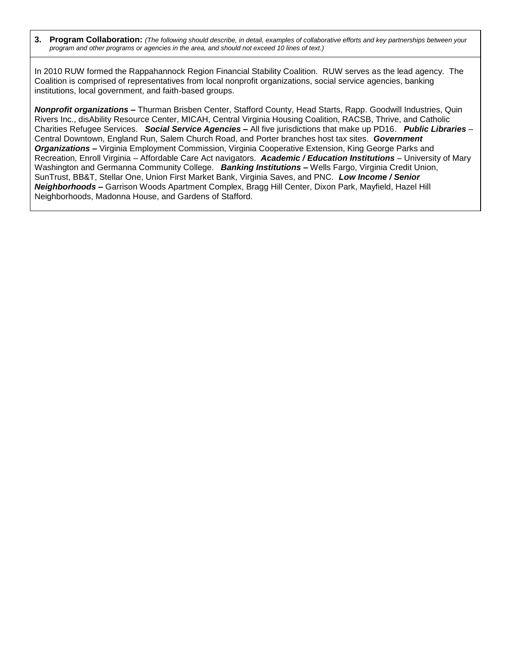**3. Program Collaboration:** *(The following should describe, in detail, examples of collaborative efforts and key partnerships between your program and other programs or agencies in the area, and should not exceed 10 lines of text.)*

In 2010 RUW formed the Rappahannock Region Financial Stability Coalition. RUW serves as the lead agency. The Coalition is comprised of representatives from local nonprofit organizations, social service agencies, banking institutions, local government, and faith-based groups.

*Nonprofit organizations* **–** Thurman Brisben Center, Stafford County, Head Starts, Rapp. Goodwill Industries, Quin Rivers Inc., disAbility Resource Center, MICAH, Central Virginia Housing Coalition, RACSB, Thrive, and Catholic Charities Refugee Services. *Social Service Agencies* **–** All five jurisdictions that make up PD16. *Public Libraries* – Central Downtown, England Run, Salem Church Road, and Porter branches host tax sites. *Government Organizations –* Virginia Employment Commission, Virginia Cooperative Extension, King George Parks and Recreation, Enroll Virginia – Affordable Care Act navigators. *Academic / Education Institutions* – University of Mary Washington and Germanna Community College. *Banking Institutions* **–** Wells Fargo, Virginia Credit Union, SunTrust, BB&T, Stellar One, Union First Market Bank, Virginia Saves, and PNC. *Low Income / Senior Neighborhoods* **–** Garrison Woods Apartment Complex, Bragg Hill Center, Dixon Park, Mayfield, Hazel Hill Neighborhoods, Madonna House, and Gardens of Stafford.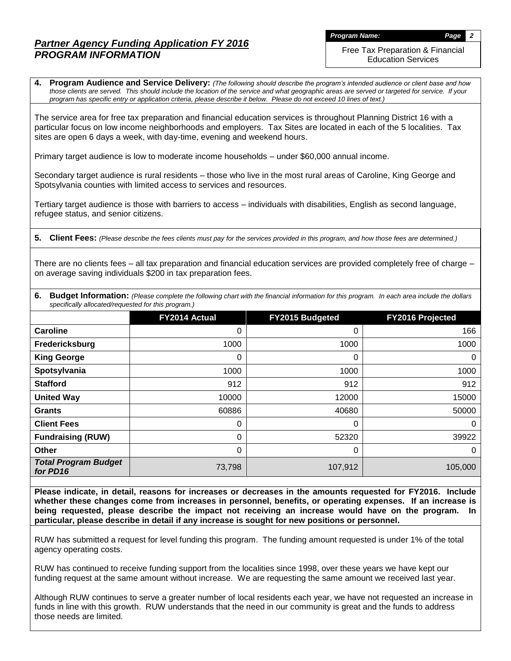*Program Name: Page 2*

Free Tax Preparation & Financial Education Services

**4. Program Audience and Service Delivery:** *(The following should describe the program's intended audience or client base and how those clients are served. This should include the location of the service and what geographic areas are served or targeted for service. If your program has specific entry or application criteria, please describe it below. Please do not exceed 10 lines of text.)*

The service area for free tax preparation and financial education services is throughout Planning District 16 with a particular focus on low income neighborhoods and employers. Tax Sites are located in each of the 5 localities. Tax sites are open 6 days a week, with day-time, evening and weekend hours.

Primary target audience is low to moderate income households – under \$60,000 annual income.

Secondary target audience is rural residents – those who live in the most rural areas of Caroline, King George and Spotsylvania counties with limited access to services and resources.

Tertiary target audience is those with barriers to access – individuals with disabilities, English as second language, refugee status, and senior citizens.

**5. Client Fees:** *(Please describe the fees clients must pay for the services provided in this program, and how those fees are determined.)*

There are no clients fees – all tax preparation and financial education services are provided completely free of charge – on average saving individuals \$200 in tax preparation fees.

**6.** Budget Information: (Please complete the following chart with the financial information for this program. In each area include the dollars *specifically allocated/requested for this program.)*

|                                         | FY2014 Actual | FY2015 Budgeted | FY2016 Projected |
|-----------------------------------------|---------------|-----------------|------------------|
| Caroline                                | 0             | 0               | 166              |
| Fredericksburg                          | 1000          | 1000            | 1000             |
| <b>King George</b>                      | 0             | 0               | $\mathbf 0$      |
| Spotsylvania                            | 1000          | 1000            | 1000             |
| <b>Stafford</b>                         | 912           | 912             | 912              |
| <b>United Way</b>                       | 10000         | 12000           | 15000            |
| <b>Grants</b>                           | 60886         | 40680           | 50000            |
| <b>Client Fees</b>                      | 0             | 0               | $\mathbf 0$      |
| <b>Fundraising (RUW)</b>                | 0             | 52320           | 39922            |
| Other                                   | 0             | 0               | $\mathbf 0$      |
| <b>Total Program Budget</b><br>for PD16 | 73,798        | 107,912         | 105,000          |

**Please indicate, in detail, reasons for increases or decreases in the amounts requested for FY2016. Include whether these changes come from increases in personnel, benefits, or operating expenses. If an increase is being requested, please describe the impact not receiving an increase would have on the program. In particular, please describe in detail if any increase is sought for new positions or personnel.**

RUW has submitted a request for level funding this program. The funding amount requested is under 1% of the total agency operating costs.

RUW has continued to receive funding support from the localities since 1998, over these years we have kept our funding request at the same amount without increase. We are requesting the same amount we received last year.

Although RUW continues to serve a greater number of local residents each year, we have not requested an increase in funds in line with this growth. RUW understands that the need in our community is great and the funds to address those needs are limited.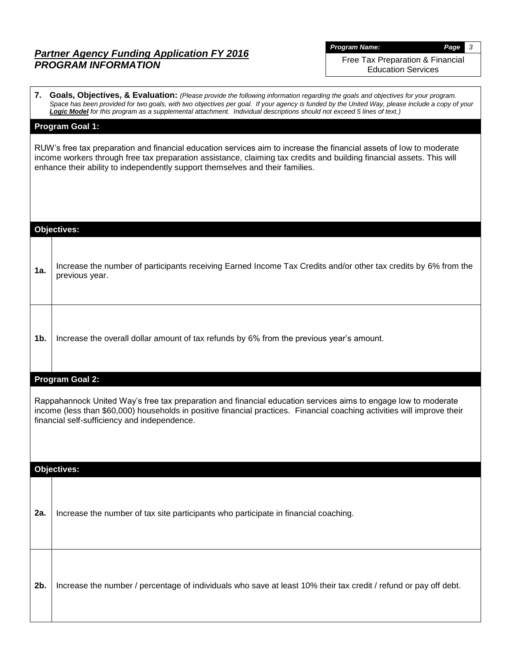*Program Name: Page 3*

Free Tax Preparation & Financial Education Services

| Program Goal 1:<br>RUW's free tax preparation and financial education services aim to increase the financial assets of low to moderate<br>income workers through free tax preparation assistance, claiming tax credits and building financial assets. This will<br>enhance their ability to independently support themselves and their families.<br><b>Objectives:</b><br>1a.<br>previous year.<br>1b.<br>Increase the overall dollar amount of tax refunds by 6% from the previous year's amount.<br>Program Goal 2:<br>Rappahannock United Way's free tax preparation and financial education services aims to engage low to moderate<br>income (less than \$60,000) households in positive financial practices. Financial coaching activities will improve their<br>financial self-sufficiency and independence.<br><b>Objectives:</b><br>Increase the number of tax site participants who participate in financial coaching.<br>2a.<br>Increase the number / percentage of individuals who save at least 10% their tax credit / refund or pay off debt.<br>2b. | Space has been provided for two goals, with two objectives per goal. If your agency is funded by the United Way, please include a copy of your<br>Logic Model for this program as a supplemental attachment. Individual descriptions should not exceed 5 lines of text.) |
|--------------------------------------------------------------------------------------------------------------------------------------------------------------------------------------------------------------------------------------------------------------------------------------------------------------------------------------------------------------------------------------------------------------------------------------------------------------------------------------------------------------------------------------------------------------------------------------------------------------------------------------------------------------------------------------------------------------------------------------------------------------------------------------------------------------------------------------------------------------------------------------------------------------------------------------------------------------------------------------------------------------------------------------------------------------------|--------------------------------------------------------------------------------------------------------------------------------------------------------------------------------------------------------------------------------------------------------------------------|
|                                                                                                                                                                                                                                                                                                                                                                                                                                                                                                                                                                                                                                                                                                                                                                                                                                                                                                                                                                                                                                                                    |                                                                                                                                                                                                                                                                          |
|                                                                                                                                                                                                                                                                                                                                                                                                                                                                                                                                                                                                                                                                                                                                                                                                                                                                                                                                                                                                                                                                    |                                                                                                                                                                                                                                                                          |
|                                                                                                                                                                                                                                                                                                                                                                                                                                                                                                                                                                                                                                                                                                                                                                                                                                                                                                                                                                                                                                                                    |                                                                                                                                                                                                                                                                          |
|                                                                                                                                                                                                                                                                                                                                                                                                                                                                                                                                                                                                                                                                                                                                                                                                                                                                                                                                                                                                                                                                    | Increase the number of participants receiving Earned Income Tax Credits and/or other tax credits by 6% from the                                                                                                                                                          |
|                                                                                                                                                                                                                                                                                                                                                                                                                                                                                                                                                                                                                                                                                                                                                                                                                                                                                                                                                                                                                                                                    |                                                                                                                                                                                                                                                                          |
|                                                                                                                                                                                                                                                                                                                                                                                                                                                                                                                                                                                                                                                                                                                                                                                                                                                                                                                                                                                                                                                                    |                                                                                                                                                                                                                                                                          |
|                                                                                                                                                                                                                                                                                                                                                                                                                                                                                                                                                                                                                                                                                                                                                                                                                                                                                                                                                                                                                                                                    |                                                                                                                                                                                                                                                                          |
|                                                                                                                                                                                                                                                                                                                                                                                                                                                                                                                                                                                                                                                                                                                                                                                                                                                                                                                                                                                                                                                                    |                                                                                                                                                                                                                                                                          |
|                                                                                                                                                                                                                                                                                                                                                                                                                                                                                                                                                                                                                                                                                                                                                                                                                                                                                                                                                                                                                                                                    |                                                                                                                                                                                                                                                                          |
|                                                                                                                                                                                                                                                                                                                                                                                                                                                                                                                                                                                                                                                                                                                                                                                                                                                                                                                                                                                                                                                                    |                                                                                                                                                                                                                                                                          |

**7. Goals, Objectives, & Evaluation:** *(Please provide the following information regarding the goals and objectives for your program.*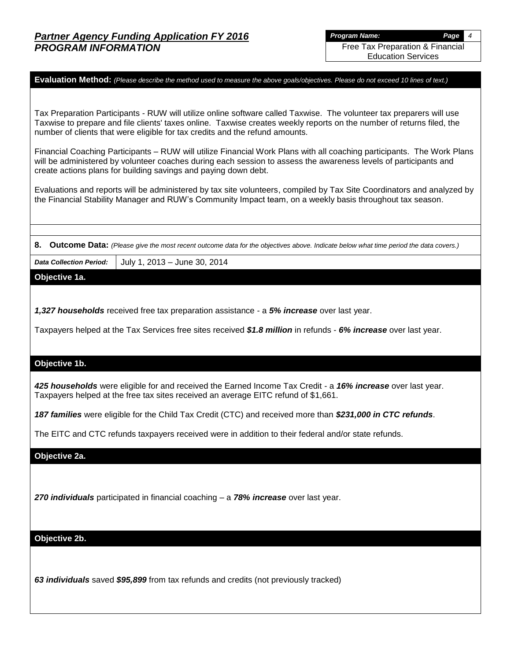**Evaluation Method:** *(Please describe the method used to measure the above goals/objectives. Please do not exceed 10 lines of text.)*

Tax Preparation Participants - RUW will utilize online software called Taxwise. The volunteer tax preparers will use Taxwise to prepare and file clients' taxes online. Taxwise creates weekly reports on the number of returns filed, the number of clients that were eligible for tax credits and the refund amounts.

Financial Coaching Participants – RUW will utilize Financial Work Plans with all coaching participants. The Work Plans will be administered by volunteer coaches during each session to assess the awareness levels of participants and create actions plans for building savings and paying down debt.

Evaluations and reports will be administered by tax site volunteers, compiled by Tax Site Coordinators and analyzed by the Financial Stability Manager and RUW's Community Impact team, on a weekly basis throughout tax season.

**8. Outcome Data:** *(Please give the most recent outcome data for the objectives above. Indicate below what time period the data covers.)*

*Data Collection Period:* July 1, 2013 – June 30, 2014

**Objective 1a.**

*1,327 households* received free tax preparation assistance - a *5% increase* over last year.

Taxpayers helped at the Tax Services free sites received *\$1.8 million* in refunds - *6% increase* over last year.

#### **Objective 1b.**

*425 households* were eligible for and received the Earned Income Tax Credit - a *16% increase* over last year. Taxpayers helped at the free tax sites received an average EITC refund of \$1,661.

*187 families* were eligible for the Child Tax Credit (CTC) and received more than *\$231,000 in CTC refunds*.

The EITC and CTC refunds taxpayers received were in addition to their federal and/or state refunds.

**Objective 2a.**

*270 individuals* participated in financial coaching – a *78% increase* over last year.

**Objective 2b.**

*63 individuals* saved *\$95,899* from tax refunds and credits (not previously tracked)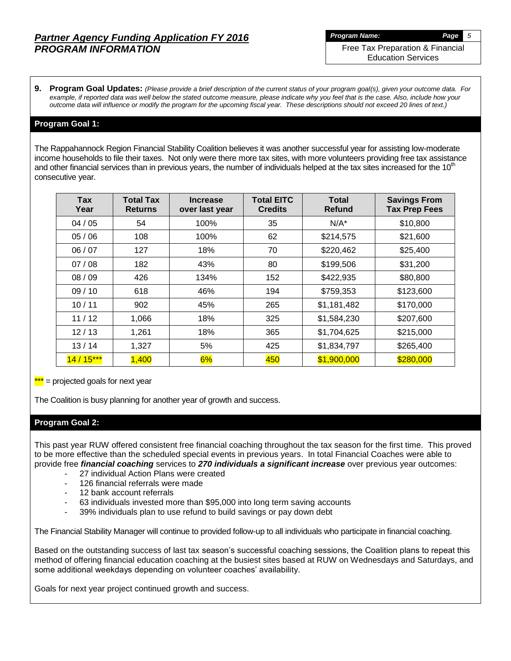Free Tax Preparation & Financial Education Services

**9. Program Goal Updates:** *(Please provide a brief description of the current status of your program goal(s), given your outcome data. For example, if reported data was well below the stated outcome measure, please indicate why you feel that is the case. Also, include how your outcome data will influence or modify the program for the upcoming fiscal year. These descriptions should not exceed 20 lines of text.)*

#### **Program Goal 1:**

The Rappahannock Region Financial Stability Coalition believes it was another successful year for assisting low-moderate income households to file their taxes. Not only were there more tax sites, with more volunteers providing free tax assistance and other financial services than in previous years, the number of individuals helped at the tax sites increased for the  $10<sup>m</sup>$ consecutive year.

| Tax<br>Year | <b>Total Tax</b><br><b>Returns</b> | <b>Increase</b><br>over last year | <b>Total EITC</b><br><b>Credits</b> | <b>Total</b><br><b>Refund</b> | <b>Savings From</b><br><b>Tax Prep Fees</b> |
|-------------|------------------------------------|-----------------------------------|-------------------------------------|-------------------------------|---------------------------------------------|
| 04/05       | 54                                 | 100%                              | 35                                  | $N/A^*$                       | \$10,800                                    |
| 05/06       | 108                                | 100%                              | 62                                  | \$214,575                     | \$21,600                                    |
| 06/07       | 127                                | 18%                               | 70                                  | \$220,462                     | \$25,400                                    |
| 07/08       | 182                                | 43%                               | 80                                  | \$199,506                     | \$31,200                                    |
| 08/09       | 426                                | 134%                              | 152                                 | \$422,935                     | \$80,800                                    |
| 09/10       | 618                                | 46%                               | 194                                 | \$759,353                     | \$123,600                                   |
| 10/11       | 902                                | 45%                               | 265                                 | \$1,181,482                   | \$170,000                                   |
| 11/12       | 1,066                              | 18%                               | 325                                 | \$1,584,230                   | \$207,600                                   |
| 12/13       | 1,261                              | 18%                               | 365                                 | \$1,704,625                   | \$215,000                                   |
| 13/14       | 1,327                              | 5%                                | 425                                 | \$1,834,797                   | \$265,400                                   |
| $14/15***$  | 1,400                              | 6%                                | 450                                 | \$1,900,000                   | \$280,000                                   |

 $***$  = projected goals for next year

The Coalition is busy planning for another year of growth and success.

### **Program Goal 2:**

This past year RUW offered consistent free financial coaching throughout the tax season for the first time. This proved to be more effective than the scheduled special events in previous years. In total Financial Coaches were able to provide free *financial coaching* services to *270 individuals a significant increase* over previous year outcomes:

- 27 individual Action Plans were created
- 126 financial referrals were made
- 12 bank account referrals
- 63 individuals invested more than \$95,000 into long term saving accounts
- 39% individuals plan to use refund to build savings or pay down debt

The Financial Stability Manager will continue to provided follow-up to all individuals who participate in financial coaching.

Based on the outstanding success of last tax season's successful coaching sessions, the Coalition plans to repeat this method of offering financial education coaching at the busiest sites based at RUW on Wednesdays and Saturdays, and some additional weekdays depending on volunteer coaches' availability.

Goals for next year project continued growth and success.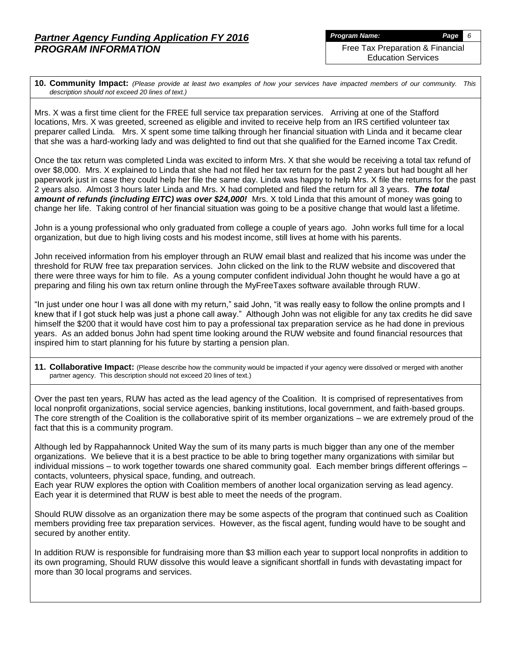Education Services

**10. Community Impact:** *(Please provide at least two examples of how your services have impacted members of our community. This description should not exceed 20 lines of text.)*

Mrs. X was a first time client for the FREE full service tax preparation services. Arriving at one of the Stafford locations, Mrs. X was greeted, screened as eligible and invited to receive help from an IRS certified volunteer tax preparer called Linda. Mrs. X spent some time talking through her financial situation with Linda and it became clear that she was a hard-working lady and was delighted to find out that she qualified for the Earned income Tax Credit.

Once the tax return was completed Linda was excited to inform Mrs. X that she would be receiving a total tax refund of over \$8,000. Mrs. X explained to Linda that she had not filed her tax return for the past 2 years but had bought all her paperwork just in case they could help her file the same day. Linda was happy to help Mrs. X file the returns for the past 2 years also. Almost 3 hours later Linda and Mrs. X had completed and filed the return for all 3 years. *The total amount of refunds (including EITC) was over \$24,000!* Mrs. X told Linda that this amount of money was going to change her life. Taking control of her financial situation was going to be a positive change that would last a lifetime.

John is a young professional who only graduated from college a couple of years ago. John works full time for a local organization, but due to high living costs and his modest income, still lives at home with his parents.

John received information from his employer through an RUW email blast and realized that his income was under the threshold for RUW free tax preparation services. John clicked on the link to the RUW website and discovered that there were three ways for him to file. As a young computer confident individual John thought he would have a go at preparing and filing his own tax return online through the MyFreeTaxes software available through RUW.

"In just under one hour I was all done with my return," said John, "it was really easy to follow the online prompts and I knew that if I got stuck help was just a phone call away." Although John was not eligible for any tax credits he did save himself the \$200 that it would have cost him to pay a professional tax preparation service as he had done in previous years. As an added bonus John had spent time looking around the RUW website and found financial resources that inspired him to start planning for his future by starting a pension plan.

**11. Collaborative Impact:** (Please describe how the community would be impacted if your agency were dissolved or merged with another partner agency. This description should not exceed 20 lines of text.)

Over the past ten years, RUW has acted as the lead agency of the Coalition. It is comprised of representatives from local nonprofit organizations, social service agencies, banking institutions, local government, and faith-based groups. The core strength of the Coalition is the collaborative spirit of its member organizations – we are extremely proud of the fact that this is a community program.

Although led by Rappahannock United Way the sum of its many parts is much bigger than any one of the member organizations. We believe that it is a best practice to be able to bring together many organizations with similar but individual missions – to work together towards one shared community goal. Each member brings different offerings – contacts, volunteers, physical space, funding, and outreach.

Each year RUW explores the option with Coalition members of another local organization serving as lead agency. Each year it is determined that RUW is best able to meet the needs of the program.

Should RUW dissolve as an organization there may be some aspects of the program that continued such as Coalition members providing free tax preparation services. However, as the fiscal agent, funding would have to be sought and secured by another entity.

In addition RUW is responsible for fundraising more than \$3 million each year to support local nonprofits in addition to its own programing, Should RUW dissolve this would leave a significant shortfall in funds with devastating impact for more than 30 local programs and services.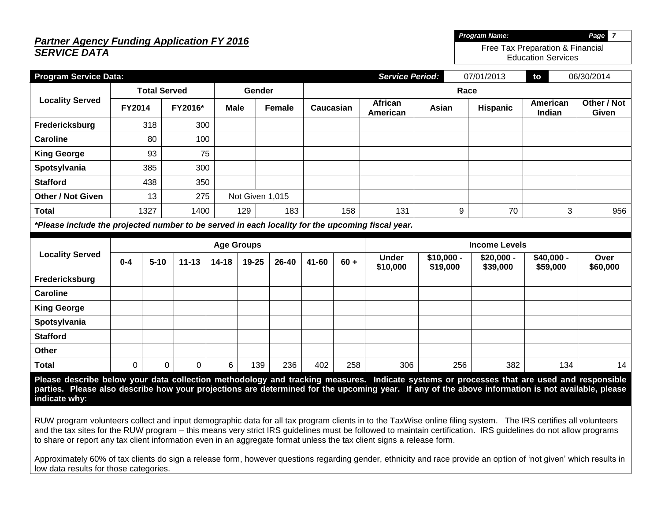# *Partner Agency Funding Application FY 2016 SERVICE DATA*

| <b>Program Service Data:</b>                                                                                                                                                                                                                                                                                                                                                                                                                                                      |               |                     |           |             |                   |               |           |        | <b>Service Period:</b>     |                         | 07/01/2013              | to                      | 06/30/2014           |
|-----------------------------------------------------------------------------------------------------------------------------------------------------------------------------------------------------------------------------------------------------------------------------------------------------------------------------------------------------------------------------------------------------------------------------------------------------------------------------------|---------------|---------------------|-----------|-------------|-------------------|---------------|-----------|--------|----------------------------|-------------------------|-------------------------|-------------------------|----------------------|
|                                                                                                                                                                                                                                                                                                                                                                                                                                                                                   |               | <b>Total Served</b> |           |             | Gender            |               | Race      |        |                            |                         |                         |                         |                      |
| <b>Locality Served</b>                                                                                                                                                                                                                                                                                                                                                                                                                                                            | <b>FY2014</b> |                     | FY2016*   | <b>Male</b> |                   | <b>Female</b> | Caucasian |        | <b>African</b><br>American | Asian                   | <b>Hispanic</b>         | American<br>Indian      | Other / Not<br>Given |
| Fredericksburg                                                                                                                                                                                                                                                                                                                                                                                                                                                                    |               | 318                 | 300       |             |                   |               |           |        |                            |                         |                         |                         |                      |
| <b>Caroline</b>                                                                                                                                                                                                                                                                                                                                                                                                                                                                   |               | 80                  | 100       |             |                   |               |           |        |                            |                         |                         |                         |                      |
| <b>King George</b>                                                                                                                                                                                                                                                                                                                                                                                                                                                                |               | 93                  | 75        |             |                   |               |           |        |                            |                         |                         |                         |                      |
| Spotsylvania                                                                                                                                                                                                                                                                                                                                                                                                                                                                      |               | 385                 | 300       |             |                   |               |           |        |                            |                         |                         |                         |                      |
| <b>Stafford</b>                                                                                                                                                                                                                                                                                                                                                                                                                                                                   |               | 438                 | 350       |             |                   |               |           |        |                            |                         |                         |                         |                      |
| <b>Other / Not Given</b>                                                                                                                                                                                                                                                                                                                                                                                                                                                          |               | 13                  | 275       |             | Not Given 1,015   |               |           |        |                            |                         |                         |                         |                      |
| <b>Total</b>                                                                                                                                                                                                                                                                                                                                                                                                                                                                      |               | 1327                | 1400      |             | 129               | 183           |           | 158    | 131                        | 9                       | 70                      | 3                       | 956                  |
| *Please include the projected number to be served in each locality for the upcoming fiscal year.                                                                                                                                                                                                                                                                                                                                                                                  |               |                     |           |             |                   |               |           |        |                            |                         |                         |                         |                      |
|                                                                                                                                                                                                                                                                                                                                                                                                                                                                                   |               |                     |           |             | <b>Age Groups</b> |               |           |        | <b>Income Levels</b>       |                         |                         |                         |                      |
| <b>Locality Served</b>                                                                                                                                                                                                                                                                                                                                                                                                                                                            | $0 - 4$       | $5 - 10$            | $11 - 13$ | $14 - 18$   | 19-25             | 26-40         | 41-60     | $60 +$ | <b>Under</b><br>\$10,000   | $$10,000 -$<br>\$19,000 | $$20,000 -$<br>\$39,000 | $$40,000 -$<br>\$59,000 | Over<br>\$60,000     |
| Fredericksburg                                                                                                                                                                                                                                                                                                                                                                                                                                                                    |               |                     |           |             |                   |               |           |        |                            |                         |                         |                         |                      |
| <b>Caroline</b>                                                                                                                                                                                                                                                                                                                                                                                                                                                                   |               |                     |           |             |                   |               |           |        |                            |                         |                         |                         |                      |
| <b>King George</b>                                                                                                                                                                                                                                                                                                                                                                                                                                                                |               |                     |           |             |                   |               |           |        |                            |                         |                         |                         |                      |
| Spotsylvania                                                                                                                                                                                                                                                                                                                                                                                                                                                                      |               |                     |           |             |                   |               |           |        |                            |                         |                         |                         |                      |
| <b>Stafford</b>                                                                                                                                                                                                                                                                                                                                                                                                                                                                   |               |                     |           |             |                   |               |           |        |                            |                         |                         |                         |                      |
| Other                                                                                                                                                                                                                                                                                                                                                                                                                                                                             |               |                     |           |             |                   |               |           |        |                            |                         |                         |                         |                      |
| <b>Total</b>                                                                                                                                                                                                                                                                                                                                                                                                                                                                      | $\Omega$      | 0                   | 0         | 6           | 139               | 236           | 402       | 258    | 306                        | 256                     | 382                     | 134                     | 14                   |
| Please describe below your data collection methodology and tracking measures. Indicate systems or processes that are used and responsible<br>parties. Please also describe how your projections are determined for the upcoming year. If any of the above information is not available, please<br>indicate why:<br>RUW program volunteers collect and input demographic data for all tax program clients in to the TaxWise online filing system. The IRS certifies all volunteers |               |                     |           |             |                   |               |           |        |                            |                         |                         |                         |                      |
| and the tax sites for the RUW program – this means very strict IRS guidelines must be followed to maintain certification. IRS guidelines do not allow programs<br>to share or report any tax client information even in an aggregate format unless the tax client signs a release form.                                                                                                                                                                                           |               |                     |           |             |                   |               |           |        |                            |                         |                         |                         |                      |

*Program Name: Page 7* Free Tax Preparation & Financial Education Services

Approximately 60% of tax clients do sign a release form, however questions regarding gender, ethnicity and race provide an option of 'not given' which results in low data results for those categories.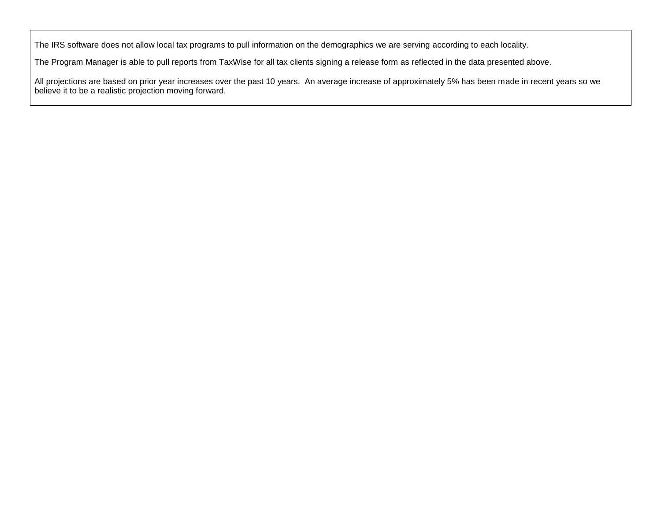The IRS software does not allow local tax programs to pull information on the demographics we are serving according to each locality.

The Program Manager is able to pull reports from TaxWise for all tax clients signing a release form as reflected in the data presented above.

All projections are based on prior year increases over the past 10 years. An average increase of approximately 5% has been made in recent years so we believe it to be a realistic projection moving forward.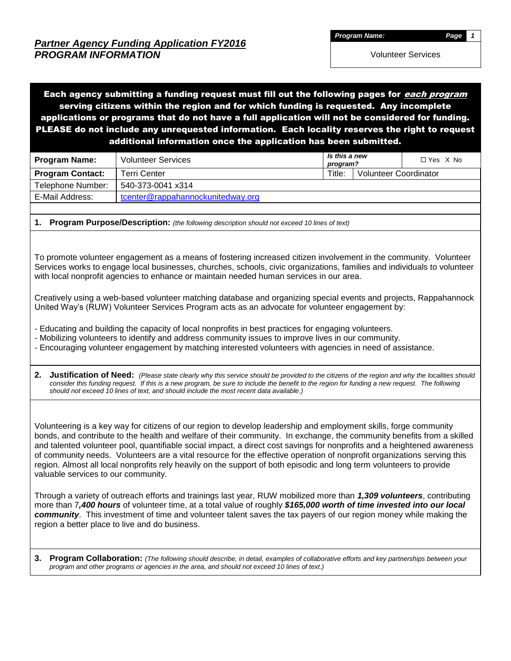Each agency submitting a funding request must fill out the following pages for *each program* serving citizens within the region and for which funding is requested. Any incomplete applications or programs that do not have a full application will not be considered for funding. PLEASE do not include any unrequested information. Each locality reserves the right to request additional information once the application has been submitted.

| <b>Program Name:</b>    | <b>Volunteer Services</b>         | Is this a new<br>program? |                       | $\Box$ Yes $X$ No |
|-------------------------|-----------------------------------|---------------------------|-----------------------|-------------------|
| <b>Program Contact:</b> | Terri Center                      | Title:                    | Volunteer Coordinator |                   |
| Telephone Number:       | 540-373-0041 x314                 |                           |                       |                   |
| E-Mail Address:         | tcenter@rappahannockunitedway.org |                           |                       |                   |

**1. Program Purpose/Description:** *(the following description should not exceed 10 lines of text)*

To promote volunteer engagement as a means of fostering increased citizen involvement in the community. Volunteer Services works to engage local businesses, churches, schools, civic organizations, families and individuals to volunteer with local nonprofit agencies to enhance or maintain needed human services in our area.

Creatively using a web-based volunteer matching database and organizing special events and projects, Rappahannock United Way's (RUW) Volunteer Services Program acts as an advocate for volunteer engagement by:

- Educating and building the capacity of local nonprofits in best practices for engaging volunteers.

- Mobilizing volunteers to identify and address community issues to improve lives in our community.

- Encouraging volunteer engagement by matching interested volunteers with agencies in need of assistance.

**2. Justification of Need:** *(Please state clearly why this service should be provided to the citizens of the region and why the localities should consider this funding request. If this is a new program, be sure to include the benefit to the region for funding a new request. The following should not exceed 10 lines of text, and should include the most recent data available.)*

Volunteering is a key way for citizens of our region to develop leadership and employment skills, forge community bonds, and contribute to the health and welfare of their community. In exchange, the community benefits from a skilled and talented volunteer pool, quantifiable social impact, a direct cost savings for nonprofits and a heightened awareness of community needs. Volunteers are a vital resource for the effective operation of nonprofit organizations serving this region. Almost all local nonprofits rely heavily on the support of both episodic and long term volunteers to provide valuable services to our community.

Through a variety of outreach efforts and trainings last year, RUW mobilized more than *1,309 volunteers*, contributing more than 7*,400 hours* of volunteer time, at a total value of roughly *\$165,000 worth of time invested into our local community*. This investment of time and volunteer talent saves the tax payers of our region money while making the region a better place to live and do business.

**3. Program Collaboration:** *(The following should describe, in detail, examples of collaborative efforts and key partnerships between your program and other programs or agencies in the area, and should not exceed 10 lines of text.)*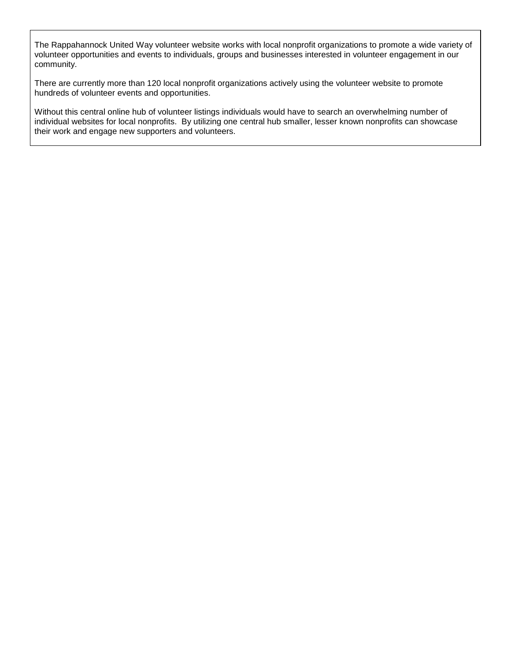The Rappahannock United Way volunteer website works with local nonprofit organizations to promote a wide variety of volunteer opportunities and events to individuals, groups and businesses interested in volunteer engagement in our community.

There are currently more than 120 local nonprofit organizations actively using the volunteer website to promote hundreds of volunteer events and opportunities.

Without this central online hub of volunteer listings individuals would have to search an overwhelming number of individual websites for local nonprofits. By utilizing one central hub smaller, lesser known nonprofits can showcase their work and engage new supporters and volunteers.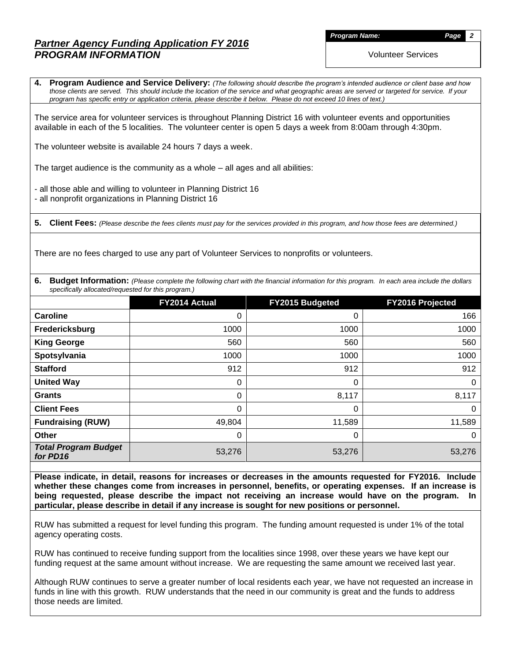*Program Name: Page 2*

Volunteer Services

**4. Program Audience and Service Delivery:** *(The following should describe the program's intended audience or client base and how those clients are served. This should include the location of the service and what geographic areas are served or targeted for service. If your program has specific entry or application criteria, please describe it below. Please do not exceed 10 lines of text.)*

The service area for volunteer services is throughout Planning District 16 with volunteer events and opportunities available in each of the 5 localities. The volunteer center is open 5 days a week from 8:00am through 4:30pm.

The volunteer website is available 24 hours 7 days a week.

The target audience is the community as a whole – all ages and all abilities:

- all those able and willing to volunteer in Planning District 16 - all nonprofit organizations in Planning District 16

**5. Client Fees:** *(Please describe the fees clients must pay for the services provided in this program, and how those fees are determined.)*

There are no fees charged to use any part of Volunteer Services to nonprofits or volunteers.

**6.** Budget Information: (Please complete the following chart with the financial information for this program. In each area include the dollars *specifically allocated/requested for this program.)*

|                                         | FY2014 Actual | FY2015 Budgeted | FY2016 Projected |
|-----------------------------------------|---------------|-----------------|------------------|
| Caroline                                | 0             | 0               | 166              |
| Fredericksburg                          | 1000          | 1000            | 1000             |
| <b>King George</b>                      | 560           | 560             | 560              |
| Spotsylvania                            | 1000          | 1000            | 1000             |
| <b>Stafford</b>                         | 912           | 912             | 912              |
| <b>United Way</b>                       | 0             | 0               | 0                |
| Grants                                  | 0             | 8,117           | 8,117            |
| <b>Client Fees</b>                      | 0             | 0               | 0                |
| <b>Fundraising (RUW)</b>                | 49,804        | 11,589          | 11,589           |
| <b>Other</b>                            | 0             | 0               | 0                |
| <b>Total Program Budget</b><br>for PD16 | 53,276        | 53,276          | 53,276           |

**Please indicate, in detail, reasons for increases or decreases in the amounts requested for FY2016. Include whether these changes come from increases in personnel, benefits, or operating expenses. If an increase is being requested, please describe the impact not receiving an increase would have on the program. In particular, please describe in detail if any increase is sought for new positions or personnel.**

RUW has submitted a request for level funding this program. The funding amount requested is under 1% of the total agency operating costs.

RUW has continued to receive funding support from the localities since 1998, over these years we have kept our funding request at the same amount without increase. We are requesting the same amount we received last year.

Although RUW continues to serve a greater number of local residents each year, we have not requested an increase in funds in line with this growth. RUW understands that the need in our community is great and the funds to address those needs are limited.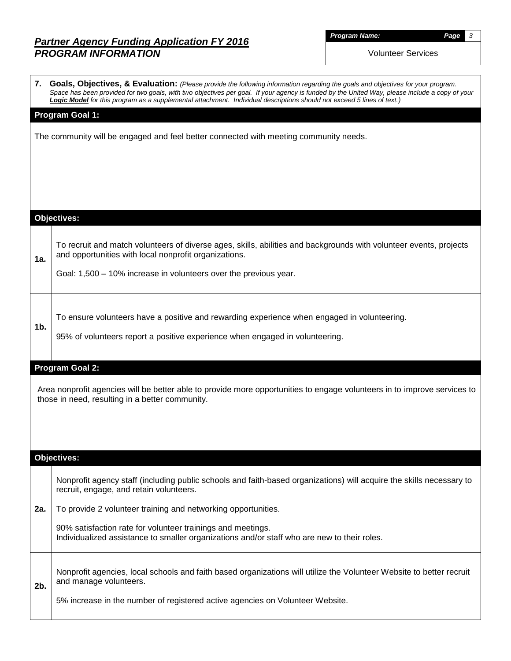*Program Name: Page 3*

Volunteer Services

|                | 7. Goals, Objectives, & Evaluation: (Please provide the following information regarding the goals and objectives for your program.<br>Space has been provided for two goals, with two objectives per goal. If your agency is funded by the United Way, please include a copy of your<br>Logic Model for this program as a supplemental attachment. Individual descriptions should not exceed 5 lines of text.) |  |  |  |  |  |  |
|----------------|----------------------------------------------------------------------------------------------------------------------------------------------------------------------------------------------------------------------------------------------------------------------------------------------------------------------------------------------------------------------------------------------------------------|--|--|--|--|--|--|
|                | <b>Program Goal 1:</b>                                                                                                                                                                                                                                                                                                                                                                                         |  |  |  |  |  |  |
|                | The community will be engaged and feel better connected with meeting community needs.                                                                                                                                                                                                                                                                                                                          |  |  |  |  |  |  |
|                |                                                                                                                                                                                                                                                                                                                                                                                                                |  |  |  |  |  |  |
|                |                                                                                                                                                                                                                                                                                                                                                                                                                |  |  |  |  |  |  |
|                |                                                                                                                                                                                                                                                                                                                                                                                                                |  |  |  |  |  |  |
|                |                                                                                                                                                                                                                                                                                                                                                                                                                |  |  |  |  |  |  |
|                | <b>Objectives:</b>                                                                                                                                                                                                                                                                                                                                                                                             |  |  |  |  |  |  |
|                |                                                                                                                                                                                                                                                                                                                                                                                                                |  |  |  |  |  |  |
| 1a.            | To recruit and match volunteers of diverse ages, skills, abilities and backgrounds with volunteer events, projects<br>and opportunities with local nonprofit organizations.                                                                                                                                                                                                                                    |  |  |  |  |  |  |
|                | Goal: 1,500 - 10% increase in volunteers over the previous year.                                                                                                                                                                                                                                                                                                                                               |  |  |  |  |  |  |
|                |                                                                                                                                                                                                                                                                                                                                                                                                                |  |  |  |  |  |  |
|                |                                                                                                                                                                                                                                                                                                                                                                                                                |  |  |  |  |  |  |
| 1 <sub>b</sub> | To ensure volunteers have a positive and rewarding experience when engaged in volunteering.                                                                                                                                                                                                                                                                                                                    |  |  |  |  |  |  |
|                | 95% of volunteers report a positive experience when engaged in volunteering.                                                                                                                                                                                                                                                                                                                                   |  |  |  |  |  |  |
|                |                                                                                                                                                                                                                                                                                                                                                                                                                |  |  |  |  |  |  |
|                | Program Goal 2:                                                                                                                                                                                                                                                                                                                                                                                                |  |  |  |  |  |  |
|                | Area nonprofit agencies will be better able to provide more opportunities to engage volunteers in to improve services to<br>those in need, resulting in a better community.                                                                                                                                                                                                                                    |  |  |  |  |  |  |
|                |                                                                                                                                                                                                                                                                                                                                                                                                                |  |  |  |  |  |  |
|                |                                                                                                                                                                                                                                                                                                                                                                                                                |  |  |  |  |  |  |
|                |                                                                                                                                                                                                                                                                                                                                                                                                                |  |  |  |  |  |  |
|                | <b>Objectives:</b>                                                                                                                                                                                                                                                                                                                                                                                             |  |  |  |  |  |  |
|                | Nonprofit agency staff (including public schools and faith-based organizations) will acquire the skills necessary to<br>recruit, engage, and retain volunteers.                                                                                                                                                                                                                                                |  |  |  |  |  |  |
| 2a.            | To provide 2 volunteer training and networking opportunities.                                                                                                                                                                                                                                                                                                                                                  |  |  |  |  |  |  |
|                | 90% satisfaction rate for volunteer trainings and meetings.<br>Individualized assistance to smaller organizations and/or staff who are new to their roles.                                                                                                                                                                                                                                                     |  |  |  |  |  |  |
|                |                                                                                                                                                                                                                                                                                                                                                                                                                |  |  |  |  |  |  |
| 2b.            | Nonprofit agencies, local schools and faith based organizations will utilize the Volunteer Website to better recruit<br>and manage volunteers.                                                                                                                                                                                                                                                                 |  |  |  |  |  |  |
|                | 5% increase in the number of registered active agencies on Volunteer Website.                                                                                                                                                                                                                                                                                                                                  |  |  |  |  |  |  |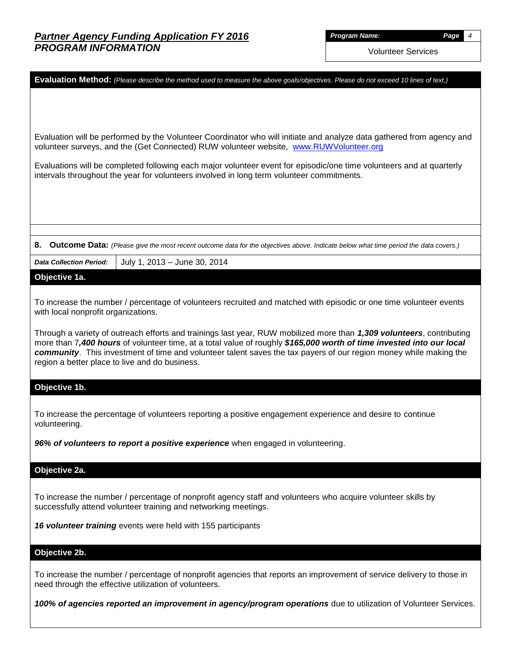*Program Name: Page 4*

Volunteer Services

| Evaluation Method: (Please describe the method used to measure the above goals/objectives. Please do not exceed 10 lines of text.)                                                                                                                                                                                                                                                                                   |
|----------------------------------------------------------------------------------------------------------------------------------------------------------------------------------------------------------------------------------------------------------------------------------------------------------------------------------------------------------------------------------------------------------------------|
| Evaluation will be performed by the Volunteer Coordinator who will initiate and analyze data gathered from agency and<br>volunteer surveys, and the (Get Connected) RUW volunteer website, www.RUWVolunteer.org                                                                                                                                                                                                      |
| Evaluations will be completed following each major volunteer event for episodic/one time volunteers and at quarterly<br>intervals throughout the year for volunteers involved in long term volunteer commitments.                                                                                                                                                                                                    |
|                                                                                                                                                                                                                                                                                                                                                                                                                      |
| Outcome Data: (Please give the most recent outcome data for the objectives above. Indicate below what time period the data covers.)<br>8.                                                                                                                                                                                                                                                                            |
| <b>Data Collection Period:</b><br>July 1, 2013 - June 30, 2014                                                                                                                                                                                                                                                                                                                                                       |
| Objective 1a.                                                                                                                                                                                                                                                                                                                                                                                                        |
| To increase the number / percentage of volunteers recruited and matched with episodic or one time volunteer events<br>with local nonprofit organizations.                                                                                                                                                                                                                                                            |
| Through a variety of outreach efforts and trainings last year, RUW mobilized more than 1,309 volunteers, contributing<br>more than 7,400 hours of volunteer time, at a total value of roughly \$165,000 worth of time invested into our local<br>community. This investment of time and volunteer talent saves the tax payers of our region money while making the<br>region a better place to live and do business. |
| Objective 1b.                                                                                                                                                                                                                                                                                                                                                                                                        |
| To increase the percentage of volunteers reporting a positive engagement experience and desire to continue<br>volunteering.                                                                                                                                                                                                                                                                                          |
| 96% of volunteers to report a positive experience when engaged in volunteering.                                                                                                                                                                                                                                                                                                                                      |
| Objective 2a.                                                                                                                                                                                                                                                                                                                                                                                                        |
| To increase the number / percentage of nonprofit agency staff and volunteers who acquire volunteer skills by<br>successfully attend volunteer training and networking meetings.                                                                                                                                                                                                                                      |
| 16 volunteer training events were held with 155 participants                                                                                                                                                                                                                                                                                                                                                         |
| Objective 2b.                                                                                                                                                                                                                                                                                                                                                                                                        |
| To increase the number / percentage of nonprofit agencies that reports an improvement of service delivery to those in<br>need through the effective utilization of volunteers.                                                                                                                                                                                                                                       |
| 100% of agencies reported an improvement in agency/program operations due to utilization of Volunteer Services.                                                                                                                                                                                                                                                                                                      |
|                                                                                                                                                                                                                                                                                                                                                                                                                      |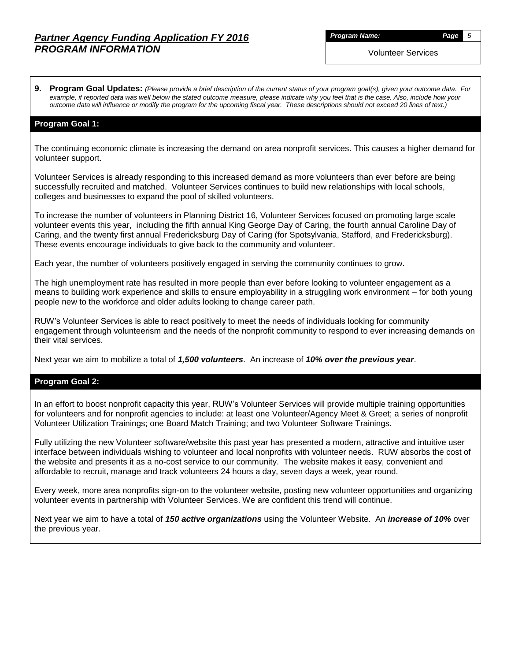*Program Name: Page 5*

Volunteer Services

**9. Program Goal Updates:** *(Please provide a brief description of the current status of your program goal(s), given your outcome data. For example, if reported data was well below the stated outcome measure, please indicate why you feel that is the case. Also, include how your outcome data will influence or modify the program for the upcoming fiscal year. These descriptions should not exceed 20 lines of text.)*

### **Program Goal 1:**

The continuing economic climate is increasing the demand on area nonprofit services. This causes a higher demand for volunteer support.

Volunteer Services is already responding to this increased demand as more volunteers than ever before are being successfully recruited and matched. Volunteer Services continues to build new relationships with local schools, colleges and businesses to expand the pool of skilled volunteers.

To increase the number of volunteers in Planning District 16, Volunteer Services focused on promoting large scale volunteer events this year, including the fifth annual King George Day of Caring, the fourth annual Caroline Day of Caring, and the twenty first annual Fredericksburg Day of Caring (for Spotsylvania, Stafford, and Fredericksburg). These events encourage individuals to give back to the community and volunteer.

Each year, the number of volunteers positively engaged in serving the community continues to grow.

The high unemployment rate has resulted in more people than ever before looking to volunteer engagement as a means to building work experience and skills to ensure employability in a struggling work environment – for both young people new to the workforce and older adults looking to change career path.

RUW's Volunteer Services is able to react positively to meet the needs of individuals looking for community engagement through volunteerism and the needs of the nonprofit community to respond to ever increasing demands on their vital services.

Next year we aim to mobilize a total of *1,500 volunteers*. An increase of *10% over the previous year*.

#### **Program Goal 2:**

In an effort to boost nonprofit capacity this year, RUW's Volunteer Services will provide multiple training opportunities for volunteers and for nonprofit agencies to include: at least one Volunteer/Agency Meet & Greet; a series of nonprofit Volunteer Utilization Trainings; one Board Match Training; and two Volunteer Software Trainings.

Fully utilizing the new Volunteer software/website this past year has presented a modern, attractive and intuitive user interface between individuals wishing to volunteer and local nonprofits with volunteer needs. RUW absorbs the cost of the website and presents it as a no-cost service to our community. The website makes it easy, convenient and affordable to recruit, manage and track volunteers 24 hours a day, seven days a week, year round.

Every week, more area nonprofits sign-on to the volunteer website, posting new volunteer opportunities and organizing volunteer events in partnership with Volunteer Services. We are confident this trend will continue.

Next year we aim to have a total of *150 active organizations* using the Volunteer Website. An *increase of 10%* over the previous year.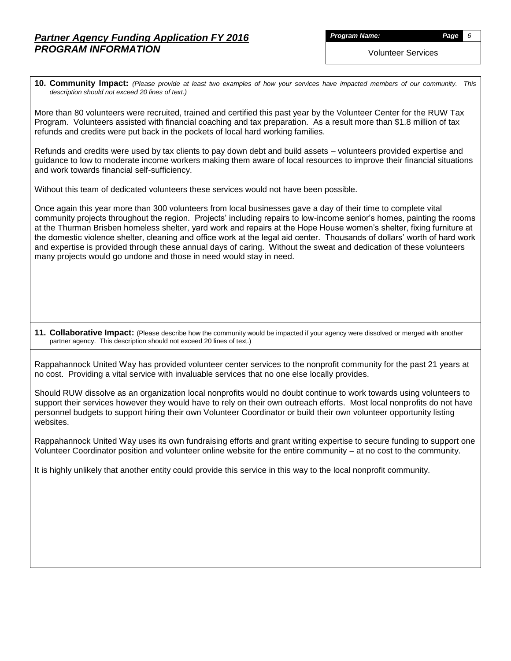*Program Name: Page 6*

Volunteer Services

**10. Community Impact:** *(Please provide at least two examples of how your services have impacted members of our community. This description should not exceed 20 lines of text.)*

More than 80 volunteers were recruited, trained and certified this past year by the Volunteer Center for the RUW Tax Program. Volunteers assisted with financial coaching and tax preparation. As a result more than \$1.8 million of tax refunds and credits were put back in the pockets of local hard working families.

Refunds and credits were used by tax clients to pay down debt and build assets – volunteers provided expertise and guidance to low to moderate income workers making them aware of local resources to improve their financial situations and work towards financial self-sufficiency.

Without this team of dedicated volunteers these services would not have been possible.

Once again this year more than 300 volunteers from local businesses gave a day of their time to complete vital community projects throughout the region. Projects' including repairs to low-income senior's homes, painting the rooms at the Thurman Brisben homeless shelter, yard work and repairs at the Hope House women's shelter, fixing furniture at the domestic violence shelter, cleaning and office work at the legal aid center. Thousands of dollars' worth of hard work and expertise is provided through these annual days of caring. Without the sweat and dedication of these volunteers many projects would go undone and those in need would stay in need.

**11. Collaborative Impact:** (Please describe how the community would be impacted if your agency were dissolved or merged with another partner agency. This description should not exceed 20 lines of text.)

Rappahannock United Way has provided volunteer center services to the nonprofit community for the past 21 years at no cost. Providing a vital service with invaluable services that no one else locally provides.

Should RUW dissolve as an organization local nonprofits would no doubt continue to work towards using volunteers to support their services however they would have to rely on their own outreach efforts. Most local nonprofits do not have personnel budgets to support hiring their own Volunteer Coordinator or build their own volunteer opportunity listing websites.

Rappahannock United Way uses its own fundraising efforts and grant writing expertise to secure funding to support one Volunteer Coordinator position and volunteer online website for the entire community – at no cost to the community.

It is highly unlikely that another entity could provide this service in this way to the local nonprofit community.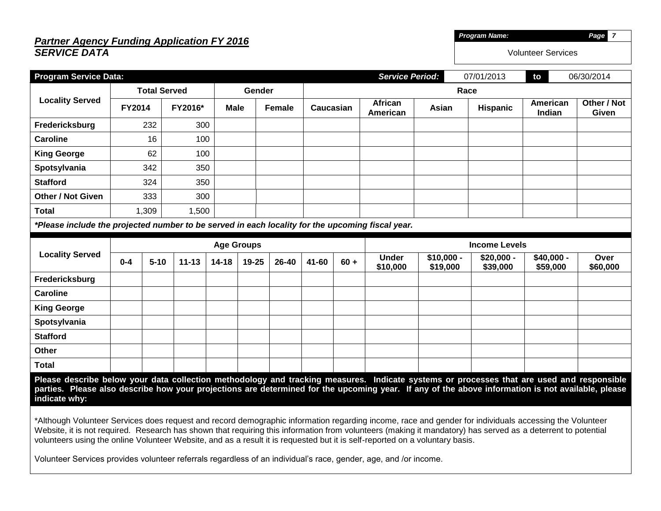# *Partner Agency Funding Application FY 2016 SERVICE DATA*

| and of the contract of the contract of the contract of the contract of the contract of the contract of the con<br><b>SERVICE DATA</b> |                 |            | <b>Volunteer Services</b> |            |
|---------------------------------------------------------------------------------------------------------------------------------------|-----------------|------------|---------------------------|------------|
| <b>Program Service Data:</b>                                                                                                          | Service Period: | 07/01/2013 | to                        | 06/30/2014 |

|                                                                                                                                                                                                                                                                                                                 | <b>Total Served</b>                                                                                                                                                                                                                                                                                                                                                                                                                                    |          |           |           | Gender                |       |           | Race   |                            |                         |                         |                        |                      |  |
|-----------------------------------------------------------------------------------------------------------------------------------------------------------------------------------------------------------------------------------------------------------------------------------------------------------------|--------------------------------------------------------------------------------------------------------------------------------------------------------------------------------------------------------------------------------------------------------------------------------------------------------------------------------------------------------------------------------------------------------------------------------------------------------|----------|-----------|-----------|-----------------------|-------|-----------|--------|----------------------------|-------------------------|-------------------------|------------------------|----------------------|--|
| <b>Locality Served</b>                                                                                                                                                                                                                                                                                          | FY2014                                                                                                                                                                                                                                                                                                                                                                                                                                                 |          | FY2016*   |           | <b>Male</b><br>Female |       | Caucasian |        | <b>African</b><br>American | Asian                   | <b>Hispanic</b>         | American<br>Indian     | Other / Not<br>Given |  |
| Fredericksburg                                                                                                                                                                                                                                                                                                  |                                                                                                                                                                                                                                                                                                                                                                                                                                                        | 232      | 300       |           |                       |       |           |        |                            |                         |                         |                        |                      |  |
| <b>Caroline</b>                                                                                                                                                                                                                                                                                                 |                                                                                                                                                                                                                                                                                                                                                                                                                                                        | 16       | 100       |           |                       |       |           |        |                            |                         |                         |                        |                      |  |
| <b>King George</b>                                                                                                                                                                                                                                                                                              |                                                                                                                                                                                                                                                                                                                                                                                                                                                        | 62       | 100       |           |                       |       |           |        |                            |                         |                         |                        |                      |  |
| Spotsylvania                                                                                                                                                                                                                                                                                                    |                                                                                                                                                                                                                                                                                                                                                                                                                                                        | 342      | 350       |           |                       |       |           |        |                            |                         |                         |                        |                      |  |
| <b>Stafford</b>                                                                                                                                                                                                                                                                                                 |                                                                                                                                                                                                                                                                                                                                                                                                                                                        | 324      | 350       |           |                       |       |           |        |                            |                         |                         |                        |                      |  |
| <b>Other / Not Given</b>                                                                                                                                                                                                                                                                                        |                                                                                                                                                                                                                                                                                                                                                                                                                                                        | 333      | 300       |           |                       |       |           |        |                            |                         |                         |                        |                      |  |
| <b>Total</b>                                                                                                                                                                                                                                                                                                    |                                                                                                                                                                                                                                                                                                                                                                                                                                                        | 1,309    | 1,500     |           |                       |       |           |        |                            |                         |                         |                        |                      |  |
| *Please include the projected number to be served in each locality for the upcoming fiscal year.                                                                                                                                                                                                                |                                                                                                                                                                                                                                                                                                                                                                                                                                                        |          |           |           |                       |       |           |        |                            |                         |                         |                        |                      |  |
|                                                                                                                                                                                                                                                                                                                 | <b>Age Groups</b>                                                                                                                                                                                                                                                                                                                                                                                                                                      |          |           |           |                       |       |           |        |                            | <b>Income Levels</b>    |                         |                        |                      |  |
| <b>Locality Served</b>                                                                                                                                                                                                                                                                                          | $0 - 4$                                                                                                                                                                                                                                                                                                                                                                                                                                                | $5 - 10$ | $11 - 13$ | $14 - 18$ | 19-25                 | 26-40 | 41-60     | $60 +$ | <b>Under</b><br>\$10,000   | $$10,000 -$<br>\$19,000 | $$20,000 -$<br>\$39,000 | \$40,000 -<br>\$59,000 | Over<br>\$60,000     |  |
| Fredericksburg                                                                                                                                                                                                                                                                                                  |                                                                                                                                                                                                                                                                                                                                                                                                                                                        |          |           |           |                       |       |           |        |                            |                         |                         |                        |                      |  |
| <b>Caroline</b>                                                                                                                                                                                                                                                                                                 |                                                                                                                                                                                                                                                                                                                                                                                                                                                        |          |           |           |                       |       |           |        |                            |                         |                         |                        |                      |  |
| <b>King George</b>                                                                                                                                                                                                                                                                                              |                                                                                                                                                                                                                                                                                                                                                                                                                                                        |          |           |           |                       |       |           |        |                            |                         |                         |                        |                      |  |
| Spotsylvania                                                                                                                                                                                                                                                                                                    |                                                                                                                                                                                                                                                                                                                                                                                                                                                        |          |           |           |                       |       |           |        |                            |                         |                         |                        |                      |  |
| <b>Stafford</b>                                                                                                                                                                                                                                                                                                 |                                                                                                                                                                                                                                                                                                                                                                                                                                                        |          |           |           |                       |       |           |        |                            |                         |                         |                        |                      |  |
| Other                                                                                                                                                                                                                                                                                                           |                                                                                                                                                                                                                                                                                                                                                                                                                                                        |          |           |           |                       |       |           |        |                            |                         |                         |                        |                      |  |
| <b>Total</b>                                                                                                                                                                                                                                                                                                    |                                                                                                                                                                                                                                                                                                                                                                                                                                                        |          |           |           |                       |       |           |        |                            |                         |                         |                        |                      |  |
| Please describe below your data collection methodology and tracking measures. Indicate systems or processes that are used and responsible<br>parties. Please also describe how your projections are determined for the upcoming year. If any of the above information is not available, please<br>indicate why: |                                                                                                                                                                                                                                                                                                                                                                                                                                                        |          |           |           |                       |       |           |        |                            |                         |                         |                        |                      |  |
|                                                                                                                                                                                                                                                                                                                 | *Although Volunteer Services does request and record demographic information regarding income, race and gender for individuals accessing the Volunteer<br>Website, it is not required. Research has shown that requiring this information from volunteers (making it mandatory) has served as a deterrent to potential<br>volunteers using the online Volunteer Website, and as a result it is requested but it is self-reported on a voluntary basis. |          |           |           |                       |       |           |        |                            |                         |                         |                        |                      |  |

Volunteer Services provides volunteer referrals regardless of an individual's race, gender, age, and /or income.

*Program Name: Page 7*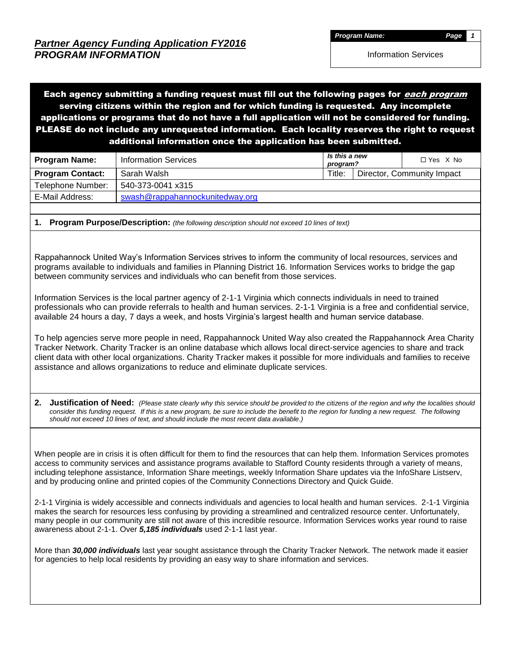Each agency submitting a funding request must fill out the following pages for *each program* serving citizens within the region and for which funding is requested. Any incomplete applications or programs that do not have a full application will not be considered for funding. PLEASE do not include any unrequested information. Each locality reserves the right to request additional information once the application has been submitted.

| <b>Program Name:</b>    | <b>Information Services</b>     | Is this a new<br>program? | $\Box$ Yes $X$ No          |
|-------------------------|---------------------------------|---------------------------|----------------------------|
| <b>Program Contact:</b> | Sarah Walsh                     | Title:                    | Director, Community Impact |
| Telephone Number:       | 540-373-0041 x315               |                           |                            |
| E-Mail Address:         | swash@rappahannockunitedway.org |                           |                            |

**1. Program Purpose/Description:** *(the following description should not exceed 10 lines of text)*

Rappahannock United Way's Information Services strives to inform the community of local resources, services and programs available to individuals and families in Planning District 16. Information Services works to bridge the gap between community services and individuals who can benefit from those services.

Information Services is the local partner agency of 2-1-1 Virginia which connects individuals in need to trained professionals who can provide referrals to health and human services. 2-1-1 Virginia is a free and confidential service, available 24 hours a day, 7 days a week, and hosts Virginia's largest health and human service database.

To help agencies serve more people in need, Rappahannock United Way also created the Rappahannock Area Charity Tracker Network. Charity Tracker is an online database which allows local direct-service agencies to share and track client data with other local organizations. Charity Tracker makes it possible for more individuals and families to receive assistance and allows organizations to reduce and eliminate duplicate services.

**2. Justification of Need:** *(Please state clearly why this service should be provided to the citizens of the region and why the localities should consider this funding request. If this is a new program, be sure to include the benefit to the region for funding a new request. The following should not exceed 10 lines of text, and should include the most recent data available.)*

When people are in crisis it is often difficult for them to find the resources that can help them. Information Services promotes access to community services and assistance programs available to Stafford County residents through a variety of means, including telephone assistance, Information Share meetings, weekly Information Share updates via the InfoShare Listserv, and by producing online and printed copies of the Community Connections Directory and Quick Guide.

2-1-1 Virginia is widely accessible and connects individuals and agencies to local health and human services. 2-1-1 Virginia makes the search for resources less confusing by providing a streamlined and centralized resource center. Unfortunately, many people in our community are still not aware of this incredible resource. Information Services works year round to raise awareness about 2-1-1. Over *5,185 individuals* used 2-1-1 last year.

More than *30,000 individuals* last year sought assistance through the Charity Tracker Network. The network made it easier for agencies to help local residents by providing an easy way to share information and services.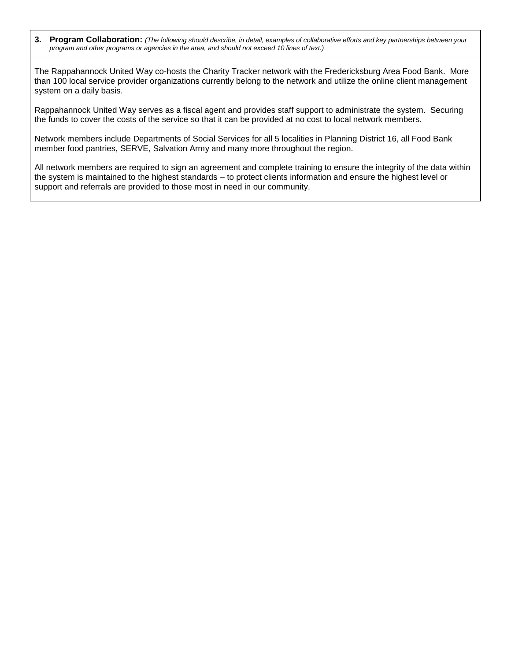**3. Program Collaboration:** *(The following should describe, in detail, examples of collaborative efforts and key partnerships between your program and other programs or agencies in the area, and should not exceed 10 lines of text.)*

The Rappahannock United Way co-hosts the Charity Tracker network with the Fredericksburg Area Food Bank. More than 100 local service provider organizations currently belong to the network and utilize the online client management system on a daily basis.

Rappahannock United Way serves as a fiscal agent and provides staff support to administrate the system. Securing the funds to cover the costs of the service so that it can be provided at no cost to local network members.

Network members include Departments of Social Services for all 5 localities in Planning District 16, all Food Bank member food pantries, SERVE, Salvation Army and many more throughout the region.

All network members are required to sign an agreement and complete training to ensure the integrity of the data within the system is maintained to the highest standards – to protect clients information and ensure the highest level or support and referrals are provided to those most in need in our community.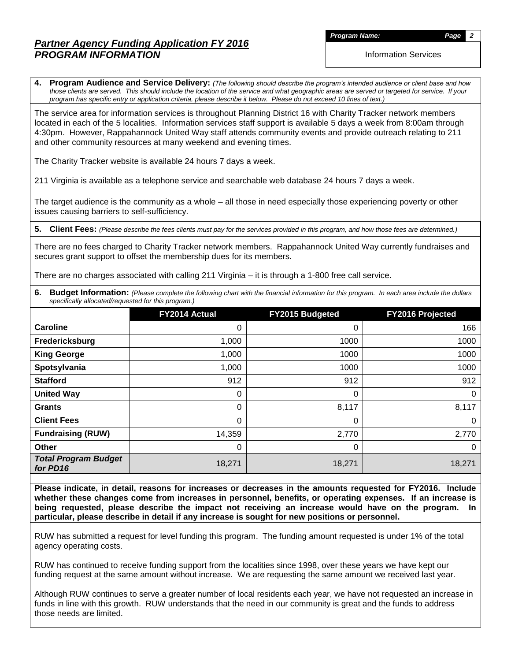*Program Name: Page 2*

Information Services

**4. Program Audience and Service Delivery:** *(The following should describe the program's intended audience or client base and how those clients are served. This should include the location of the service and what geographic areas are served or targeted for service. If your program has specific entry or application criteria, please describe it below. Please do not exceed 10 lines of text.)*

The service area for information services is throughout Planning District 16 with Charity Tracker network members located in each of the 5 localities. Information services staff support is available 5 days a week from 8:00am through 4:30pm. However, Rappahannock United Way staff attends community events and provide outreach relating to 211 and other community resources at many weekend and evening times.

The Charity Tracker website is available 24 hours 7 days a week.

211 Virginia is available as a telephone service and searchable web database 24 hours 7 days a week.

The target audience is the community as a whole – all those in need especially those experiencing poverty or other issues causing barriers to self-sufficiency.

**5. Client Fees:** *(Please describe the fees clients must pay for the services provided in this program, and how those fees are determined.)*

There are no fees charged to Charity Tracker network members. Rappahannock United Way currently fundraises and secures grant support to offset the membership dues for its members.

There are no charges associated with calling 211 Virginia – it is through a 1-800 free call service.

**6.** Budget Information: (Please complete the following chart with the financial information for this program. In each area include the dollars *specifically allocated/requested for this program.)*

|                                         | FY2014 Actual | FY2015 Budgeted | FY2016 Projected |
|-----------------------------------------|---------------|-----------------|------------------|
| <b>Caroline</b>                         | 0             | 0               | 166              |
| Fredericksburg                          | 1,000         | 1000            | 1000             |
| <b>King George</b>                      | 1,000         | 1000            | 1000             |
| Spotsylvania                            | 1,000         | 1000            | 1000             |
| <b>Stafford</b>                         | 912           | 912             | 912              |
| <b>United Way</b>                       | 0             | 0               | 0                |
| <b>Grants</b>                           | 0             | 8,117           | 8,117            |
| <b>Client Fees</b>                      | 0             | 0               | 0                |
| <b>Fundraising (RUW)</b>                | 14,359        | 2,770           | 2,770            |
| <b>Other</b>                            | 0             | 0               | 0                |
| <b>Total Program Budget</b><br>for PD16 | 18,271        | 18,271          | 18,271           |

**Please indicate, in detail, reasons for increases or decreases in the amounts requested for FY2016. Include whether these changes come from increases in personnel, benefits, or operating expenses. If an increase is being requested, please describe the impact not receiving an increase would have on the program. In particular, please describe in detail if any increase is sought for new positions or personnel.**

RUW has submitted a request for level funding this program. The funding amount requested is under 1% of the total agency operating costs.

RUW has continued to receive funding support from the localities since 1998, over these years we have kept our funding request at the same amount without increase. We are requesting the same amount we received last year.

Although RUW continues to serve a greater number of local residents each year, we have not requested an increase in funds in line with this growth. RUW understands that the need in our community is great and the funds to address those needs are limited.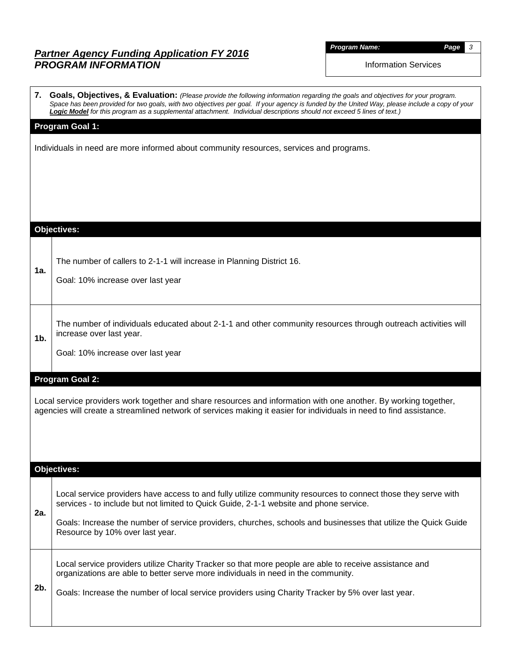$\Gamma$ 

*Program Name: Page 3*

Information Services

|                | 7. Goals, Objectives, & Evaluation: (Please provide the following information regarding the goals and objectives for your program.<br>Space has been provided for two goals, with two objectives per goal. If your agency is funded by the United Way, please include a copy of your<br>Logic Model for this program as a supplemental attachment. Individual descriptions should not exceed 5 lines of text.) |
|----------------|----------------------------------------------------------------------------------------------------------------------------------------------------------------------------------------------------------------------------------------------------------------------------------------------------------------------------------------------------------------------------------------------------------------|
|                | Program Goal 1:                                                                                                                                                                                                                                                                                                                                                                                                |
|                | Individuals in need are more informed about community resources, services and programs.                                                                                                                                                                                                                                                                                                                        |
|                | <b>Objectives:</b>                                                                                                                                                                                                                                                                                                                                                                                             |
| 1a.            | The number of callers to 2-1-1 will increase in Planning District 16.<br>Goal: 10% increase over last year                                                                                                                                                                                                                                                                                                     |
| 1 <sub>b</sub> | The number of individuals educated about 2-1-1 and other community resources through outreach activities will<br>increase over last year.<br>Goal: 10% increase over last year                                                                                                                                                                                                                                 |
|                | <b>Program Goal 2:</b>                                                                                                                                                                                                                                                                                                                                                                                         |
|                | Local service providers work together and share resources and information with one another. By working together,<br>agencies will create a streamlined network of services making it easier for individuals in need to find assistance.                                                                                                                                                                        |
|                | <b>Objectives:</b>                                                                                                                                                                                                                                                                                                                                                                                             |
| 2a.            | Local service providers have access to and fully utilize community resources to connect those they serve with<br>services - to include but not limited to Quick Guide, 2-1-1 website and phone service.<br>Goals: Increase the number of service providers, churches, schools and businesses that utilize the Quick Guide<br>Resource by 10% over last year.                                                   |
| 2b.            | Local service providers utilize Charity Tracker so that more people are able to receive assistance and<br>organizations are able to better serve more individuals in need in the community.<br>Goals: Increase the number of local service providers using Charity Tracker by 5% over last year.                                                                                                               |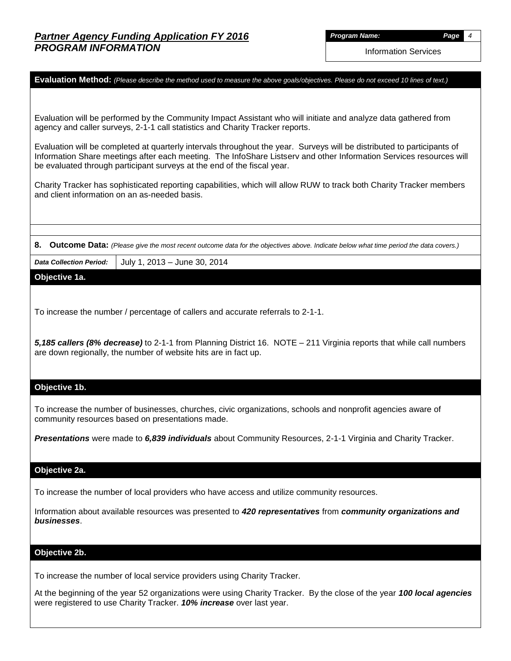*Program Name: Page 4*

Information Services

**Evaluation Method:** *(Please describe the method used to measure the above goals/objectives. Please do not exceed 10 lines of text.)*

Evaluation will be performed by the Community Impact Assistant who will initiate and analyze data gathered from agency and caller surveys, 2-1-1 call statistics and Charity Tracker reports.

Evaluation will be completed at quarterly intervals throughout the year. Surveys will be distributed to participants of Information Share meetings after each meeting. The InfoShare Listserv and other Information Services resources will be evaluated through participant surveys at the end of the fiscal year.

Charity Tracker has sophisticated reporting capabilities, which will allow RUW to track both Charity Tracker members and client information on an as-needed basis.

**8. Outcome Data:** *(Please give the most recent outcome data for the objectives above. Indicate below what time period the data covers.)*

*Data Collection Period:* July 1, 2013 – June 30, 2014

**Objective 1a.**

To increase the number / percentage of callers and accurate referrals to 2-1-1.

*5,185 callers (8% decrease)* to 2-1-1 from Planning District 16. NOTE – 211 Virginia reports that while call numbers are down regionally, the number of website hits are in fact up.

#### **Objective 1b.**

To increase the number of businesses, churches, civic organizations, schools and nonprofit agencies aware of community resources based on presentations made.

*Presentations* were made to *6,839 individuals* about Community Resources, 2-1-1 Virginia and Charity Tracker.

#### **Objective 2a.**

To increase the number of local providers who have access and utilize community resources.

Information about available resources was presented to *420 representatives* from *community organizations and businesses*.

#### **Objective 2b.**

To increase the number of local service providers using Charity Tracker.

At the beginning of the year 52 organizations were using Charity Tracker. By the close of the year *100 local agencies* were registered to use Charity Tracker. *10% increase* over last year.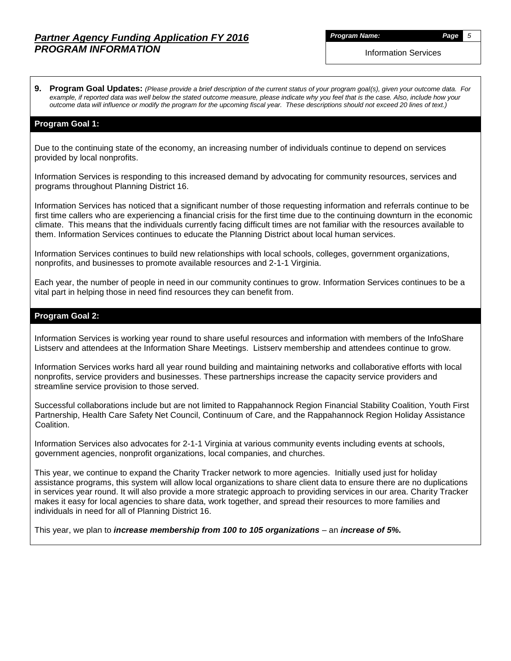*Program Name: Page 5*

Information Services

**9. Program Goal Updates:** *(Please provide a brief description of the current status of your program goal(s), given your outcome data. For example, if reported data was well below the stated outcome measure, please indicate why you feel that is the case. Also, include how your outcome data will influence or modify the program for the upcoming fiscal year. These descriptions should not exceed 20 lines of text.)*

### **Program Goal 1:**

Due to the continuing state of the economy, an increasing number of individuals continue to depend on services provided by local nonprofits.

Information Services is responding to this increased demand by advocating for community resources, services and programs throughout Planning District 16.

Information Services has noticed that a significant number of those requesting information and referrals continue to be first time callers who are experiencing a financial crisis for the first time due to the continuing downturn in the economic climate. This means that the individuals currently facing difficult times are not familiar with the resources available to them. Information Services continues to educate the Planning District about local human services.

Information Services continues to build new relationships with local schools, colleges, government organizations, nonprofits, and businesses to promote available resources and 2-1-1 Virginia.

Each year, the number of people in need in our community continues to grow. Information Services continues to be a vital part in helping those in need find resources they can benefit from.

#### **Program Goal 2:**

Information Services is working year round to share useful resources and information with members of the InfoShare Listserv and attendees at the Information Share Meetings. Listserv membership and attendees continue to grow.

Information Services works hard all year round building and maintaining networks and collaborative efforts with local nonprofits, service providers and businesses. These partnerships increase the capacity service providers and streamline service provision to those served.

Successful collaborations include but are not limited to Rappahannock Region Financial Stability Coalition, Youth First Partnership, Health Care Safety Net Council, Continuum of Care, and the Rappahannock Region Holiday Assistance Coalition.

Information Services also advocates for 2-1-1 Virginia at various community events including events at schools, government agencies, nonprofit organizations, local companies, and churches.

This year, we continue to expand the Charity Tracker network to more agencies. Initially used just for holiday assistance programs, this system will allow local organizations to share client data to ensure there are no duplications in services year round. It will also provide a more strategic approach to providing services in our area. Charity Tracker makes it easy for local agencies to share data, work together, and spread their resources to more families and individuals in need for all of Planning District 16.

This year, we plan to *increase membership from 100 to 105 organizations* – an *increase of 5%.*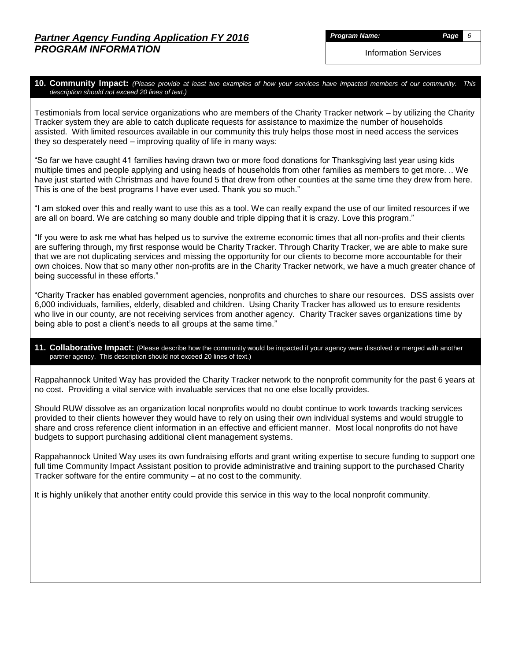*Program Name: Page 6*

Information Services

### **10. Community Impact:** *(Please provide at least two examples of how your services have impacted members of our community. This description should not exceed 20 lines of text.)*

Testimonials from local service organizations who are members of the Charity Tracker network – by utilizing the Charity Tracker system they are able to catch duplicate requests for assistance to maximize the number of households assisted. With limited resources available in our community this truly helps those most in need access the services they so desperately need – improving quality of life in many ways:

"So far we have caught 41 families having drawn two or more food donations for Thanksgiving last year using kids multiple times and people applying and using heads of households from other families as members to get more. .. We have just started with Christmas and have found 5 that drew from other counties at the same time they drew from here. This is one of the best programs I have ever used. Thank you so much."

"I am stoked over this and really want to use this as a tool. We can really expand the use of our limited resources if we are all on board. We are catching so many double and triple dipping that it is crazy. Love this program."

"If you were to ask me what has helped us to survive the extreme economic times that all non-profits and their clients are suffering through, my first response would be Charity Tracker. Through Charity Tracker, we are able to make sure that we are not duplicating services and missing the opportunity for our clients to become more accountable for their own choices. Now that so many other non-profits are in the Charity Tracker network, we have a much greater chance of being successful in these efforts."

"Charity Tracker has enabled government agencies, nonprofits and churches to share our resources. DSS assists over 6,000 individuals, families, elderly, disabled and children. Using Charity Tracker has allowed us to ensure residents who live in our county, are not receiving services from another agency. Charity Tracker saves organizations time by being able to post a client's needs to all groups at the same time."

### **11. Collaborative Impact:** (Please describe how the community would be impacted if your agency were dissolved or merged with another partner agency. This description should not exceed 20 lines of text.)

Rappahannock United Way has provided the Charity Tracker network to the nonprofit community for the past 6 years at no cost. Providing a vital service with invaluable services that no one else locally provides.

Should RUW dissolve as an organization local nonprofits would no doubt continue to work towards tracking services provided to their clients however they would have to rely on using their own individual systems and would struggle to share and cross reference client information in an effective and efficient manner. Most local nonprofits do not have budgets to support purchasing additional client management systems.

Rappahannock United Way uses its own fundraising efforts and grant writing expertise to secure funding to support one full time Community Impact Assistant position to provide administrative and training support to the purchased Charity Tracker software for the entire community – at no cost to the community.

It is highly unlikely that another entity could provide this service in this way to the local nonprofit community.